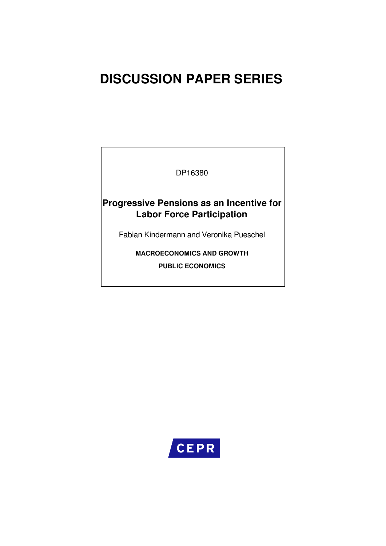# **DISCUSSION PAPER SERIES**

DP16380

# **Progressive Pensions as an Incentive for Labor Force Participation**

Fabian Kindermann and Veronika Pueschel

**MACROECONOMICS AND GROWTH PUBLIC ECONOMICS**

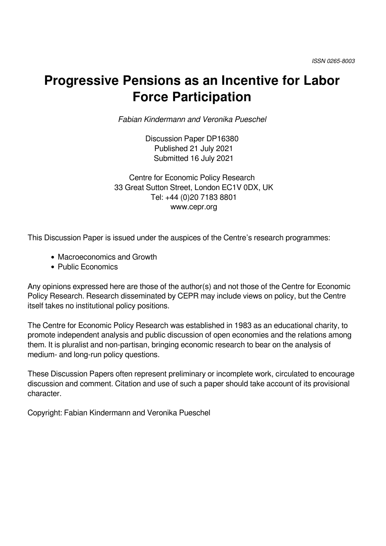# **Progressive Pensions as an Incentive for Labor Force Participation**

*Fabian Kindermann and Veronika Pueschel*

Discussion Paper DP16380 Published 21 July 2021 Submitted 16 July 2021

Centre for Economic Policy Research 33 Great Sutton Street, London EC1V 0DX, UK Tel: +44 (0)20 7183 8801 www.cepr.org

This Discussion Paper is issued under the auspices of the Centre's research programmes:

- Macroeconomics and Growth
- Public Economics

Any opinions expressed here are those of the author(s) and not those of the Centre for Economic Policy Research. Research disseminated by CEPR may include views on policy, but the Centre itself takes no institutional policy positions.

The Centre for Economic Policy Research was established in 1983 as an educational charity, to promote independent analysis and public discussion of open economies and the relations among them. It is pluralist and non-partisan, bringing economic research to bear on the analysis of medium- and long-run policy questions.

These Discussion Papers often represent preliminary or incomplete work, circulated to encourage discussion and comment. Citation and use of such a paper should take account of its provisional character.

Copyright: Fabian Kindermann and Veronika Pueschel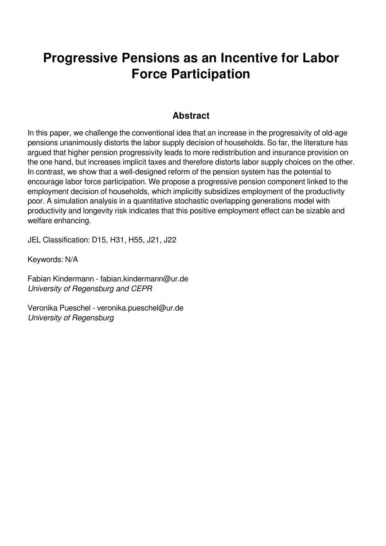# **Progressive Pensions as an Incentive for Labor Force Participation**

# **Abstract**

In this paper, we challenge the conventional idea that an increase in the progressivity of old-age pensions unanimously distorts the labor supply decision of households. So far, the literature has argued that higher pension progressivity leads to more redistribution and insurance provision on the one hand, but increases implicit taxes and therefore distorts labor supply choices on the other. In contrast, we show that a well-designed reform of the pension system has the potential to encourage labor force participation. We propose a progressive pension component linked to the employment decision of households, which implicitly subsidizes employment of the productivity poor. A simulation analysis in a quantitative stochastic overlapping generations model with productivity and longevity risk indicates that this positive employment effect can be sizable and welfare enhancing.

JEL Classification: D15, H31, H55, J21, J22

Keywords: N/A

Fabian Kindermann - fabian.kindermann@ur.de *University of Regensburg and CEPR*

Veronika Pueschel - veronika.pueschel@ur.de *University of Regensburg*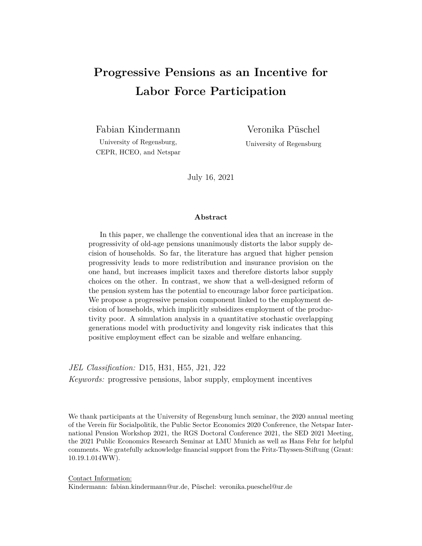# **Progressive Pensions as an Incentive for Labor Force Participation**

Fabian Kindermann

University of Regensburg, CEPR, HCEO, and Netspar Veronika Püschel

University of Regensburg

July 16, 2021

#### **Abstract**

In this paper, we challenge the conventional idea that an increase in the progressivity of old-age pensions unanimously distorts the labor supply decision of households. So far, the literature has argued that higher pension progressivity leads to more redistribution and insurance provision on the one hand, but increases implicit taxes and therefore distorts labor supply choices on the other. In contrast, we show that a well-designed reform of the pension system has the potential to encourage labor force participation. We propose a progressive pension component linked to the employment decision of households, which implicitly subsidizes employment of the productivity poor. A simulation analysis in a quantitative stochastic overlapping generations model with productivity and longevity risk indicates that this positive employment effect can be sizable and welfare enhancing.

*JEL Classification:* D15, H31, H55, J21, J22

*Keywords:* progressive pensions, labor supply, employment incentives

We thank participants at the University of Regensburg lunch seminar, the 2020 annual meeting of the Verein für Socialpolitik, the Public Sector Economics 2020 Conference, the Netspar International Pension Workshop 2021, the RGS Doctoral Conference 2021, the SED 2021 Meeting, the 2021 Public Economics Research Seminar at LMU Munich as well as Hans Fehr for helpful comments. We gratefully acknowledge financial support from the Fritz-Thyssen-Stiftung (Grant: 10.19.1.014WW).

Contact Information: Kindermann: fabian.kindermann@ur.de, Püschel: veronika.pueschel@ur.de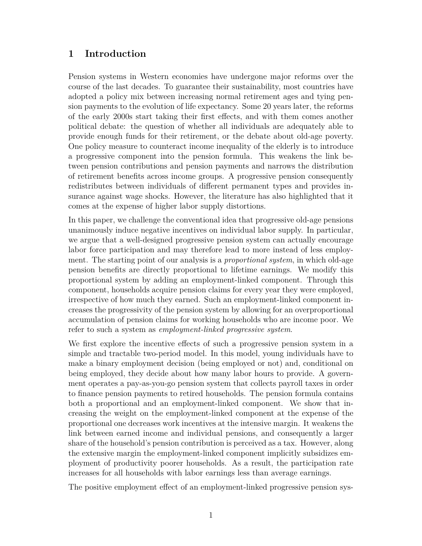### **1 Introduction**

Pension systems in Western economies have undergone major reforms over the course of the last decades. To guarantee their sustainability, most countries have adopted a policy mix between increasing normal retirement ages and tying pension payments to the evolution of life expectancy. Some 20 years later, the reforms of the early 2000s start taking their first effects, and with them comes another political debate: the question of whether all individuals are adequately able to provide enough funds for their retirement, or the debate about old-age poverty. One policy measure to counteract income inequality of the elderly is to introduce a progressive component into the pension formula. This weakens the link between pension contributions and pension payments and narrows the distribution of retirement benefits across income groups. A progressive pension consequently redistributes between individuals of different permanent types and provides insurance against wage shocks. However, the literature has also highlighted that it comes at the expense of higher labor supply distortions.

In this paper, we challenge the conventional idea that progressive old-age pensions unanimously induce negative incentives on individual labor supply. In particular, we argue that a well-designed progressive pension system can actually encourage labor force participation and may therefore lead to more instead of less employment. The starting point of our analysis is a *proportional system*, in which old-age pension benefits are directly proportional to lifetime earnings. We modify this proportional system by adding an employment-linked component. Through this component, households acquire pension claims for every year they were employed, irrespective of how much they earned. Such an employment-linked component increases the progressivity of the pension system by allowing for an overproportional accumulation of pension claims for working households who are income poor. We refer to such a system as *employment-linked progressive system*.

We first explore the incentive effects of such a progressive pension system in a simple and tractable two-period model. In this model, young individuals have to make a binary employment decision (being employed or not) and, conditional on being employed, they decide about how many labor hours to provide. A government operates a pay-as-you-go pension system that collects payroll taxes in order to finance pension payments to retired households. The pension formula contains both a proportional and an employment-linked component. We show that increasing the weight on the employment-linked component at the expense of the proportional one decreases work incentives at the intensive margin. It weakens the link between earned income and individual pensions, and consequently a larger share of the household's pension contribution is perceived as a tax. However, along the extensive margin the employment-linked component implicitly subsidizes employment of productivity poorer households. As a result, the participation rate increases for all households with labor earnings less than average earnings.

The positive employment effect of an employment-linked progressive pension sys-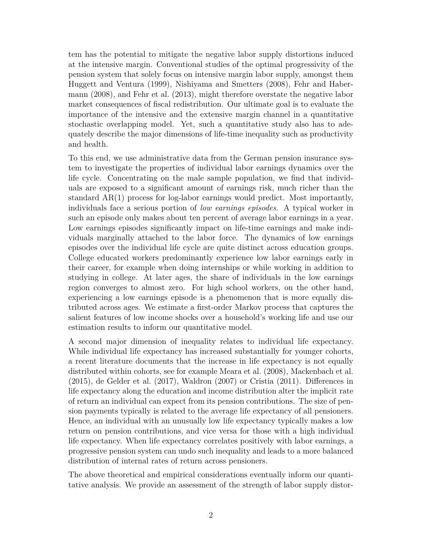tem has the potential to mitigate the negative labor supply distortions induced at the intensive margin. Conventional studies of the optimal progressivity of the pension system that solely focus on intensive margin labor supply, amongst them Huggett and Ventura (1999), Nishiyama and Smetters (2008), Fehr and Habermann (2008), and Fehr et al. (2013), might therefore overstate the negative labor market consequences of fiscal redistribution. Our ultimate goal is to evaluate the importance of the intensive and the extensive margin channel in a quantitative stochastic overlapping model. Yet, such a quantitative study also has to adequately describe the major dimensions of life-time inequality such as productivity and health.

To this end, we use administrative data from the German pension insurance system to investigate the properties of individual labor earnings dynamics over the life cycle. Concentrating on the male sample population, we find that individuals are exposed to a significant amount of earnings risk, much richer than the standard AR(1) process for log-labor earnings would predict. Most importantly, individuals face a serious portion of *low earnings episodes*. A typical worker in such an episode only makes about ten percent of average labor earnings in a year. Low earnings episodes significantly impact on life-time earnings and make individuals marginally attached to the labor force. The dynamics of low earnings episodes over the individual life cycle are quite distinct across education groups. College educated workers predominantly experience low labor earnings early in their career, for example when doing internships or while working in addition to studying in college. At later ages, the share of individuals in the low earnings region converges to almost zero. For high school workers, on the other hand, experiencing a low earnings episode is a phenomenon that is more equally distributed across ages. We estimate a first-order Markov process that captures the salient features of low income shocks over a household's working life and use our estimation results to inform our quantitative model.

A second major dimension of inequality relates to individual life expectancy. While individual life expectancy has increased substantially for younger cohorts, a recent literature documents that the increase in life expectancy is not equally distributed within cohorts, see for example Meara et al. (2008), Mackenbach et al. (2015), de Gelder et al. (2017), Waldron (2007) or Cristia (2011). Differences in life expectancy along the education and income distribution alter the implicit rate of return an individual can expect from its pension contributions. The size of pension payments typically is related to the average life expectancy of all pensioners. Hence, an individual with an unusually low life expectancy typically makes a low return on pension contributions, and vice versa for those with a high individual life expectancy. When life expectancy correlates positively with labor earnings, a progressive pension system can undo such inequality and leads to a more balanced distribution of internal rates of return across pensioners.

The above theoretical and empirical considerations eventually inform our quantitative analysis. We provide an assessment of the strength of labor supply distor-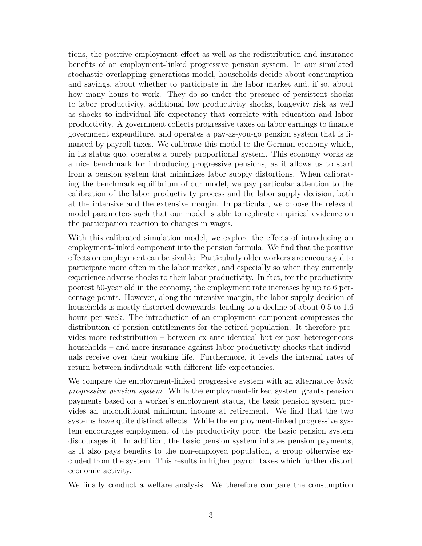tions, the positive employment effect as well as the redistribution and insurance benefits of an employment-linked progressive pension system. In our simulated stochastic overlapping generations model, households decide about consumption and savings, about whether to participate in the labor market and, if so, about how many hours to work. They do so under the presence of persistent shocks to labor productivity, additional low productivity shocks, longevity risk as well as shocks to individual life expectancy that correlate with education and labor productivity. A government collects progressive taxes on labor earnings to finance government expenditure, and operates a pay-as-you-go pension system that is financed by payroll taxes. We calibrate this model to the German economy which, in its status quo, operates a purely proportional system. This economy works as a nice benchmark for introducing progressive pensions, as it allows us to start from a pension system that minimizes labor supply distortions. When calibrating the benchmark equilibrium of our model, we pay particular attention to the calibration of the labor productivity process and the labor supply decision, both at the intensive and the extensive margin. In particular, we choose the relevant model parameters such that our model is able to replicate empirical evidence on the participation reaction to changes in wages.

With this calibrated simulation model, we explore the effects of introducing an employment-linked component into the pension formula. We find that the positive effects on employment can be sizable. Particularly older workers are encouraged to participate more often in the labor market, and especially so when they currently experience adverse shocks to their labor productivity. In fact, for the productivity poorest 50-year old in the economy, the employment rate increases by up to 6 percentage points. However, along the intensive margin, the labor supply decision of households is mostly distorted downwards, leading to a decline of about 0.5 to 1.6 hours per week. The introduction of an employment component compresses the distribution of pension entitlements for the retired population. It therefore provides more redistribution – between ex ante identical but ex post heterogeneous households – and more insurance against labor productivity shocks that individuals receive over their working life. Furthermore, it levels the internal rates of return between individuals with different life expectancies.

We compare the employment-linked progressive system with an alternative *basic progressive pension system*. While the employment-linked system grants pension payments based on a worker's employment status, the basic pension system provides an unconditional minimum income at retirement. We find that the two systems have quite distinct effects. While the employment-linked progressive system encourages employment of the productivity poor, the basic pension system discourages it. In addition, the basic pension system inflates pension payments, as it also pays benefits to the non-employed population, a group otherwise excluded from the system. This results in higher payroll taxes which further distort economic activity.

We finally conduct a welfare analysis. We therefore compare the consumption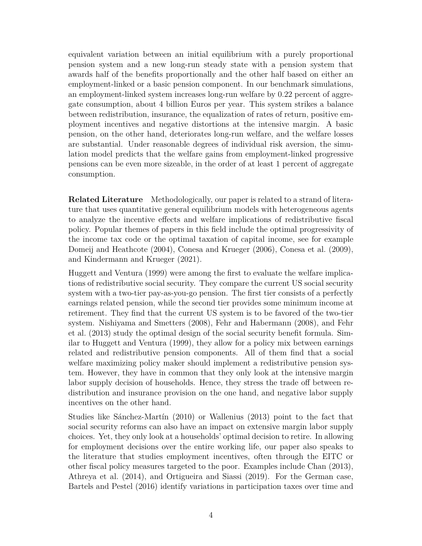equivalent variation between an initial equilibrium with a purely proportional pension system and a new long-run steady state with a pension system that awards half of the benefits proportionally and the other half based on either an employment-linked or a basic pension component. In our benchmark simulations, an employment-linked system increases long-run welfare by 0.22 percent of aggregate consumption, about 4 billion Euros per year. This system strikes a balance between redistribution, insurance, the equalization of rates of return, positive employment incentives and negative distortions at the intensive margin. A basic pension, on the other hand, deteriorates long-run welfare, and the welfare losses are substantial. Under reasonable degrees of individual risk aversion, the simulation model predicts that the welfare gains from employment-linked progressive pensions can be even more sizeable, in the order of at least 1 percent of aggregate consumption.

**Related Literature** Methodologically, our paper is related to a strand of literature that uses quantitative general equilibrium models with heterogeneous agents to analyze the incentive effects and welfare implications of redistributive fiscal policy. Popular themes of papers in this field include the optimal progressivity of the income tax code or the optimal taxation of capital income, see for example Domeij and Heathcote (2004), Conesa and Krueger (2006), Conesa et al. (2009), and Kindermann and Krueger (2021).

Huggett and Ventura (1999) were among the first to evaluate the welfare implications of redistributive social security. They compare the current US social security system with a two-tier pay-as-you-go pension. The first tier consists of a perfectly earnings related pension, while the second tier provides some minimum income at retirement. They find that the current US system is to be favored of the two-tier system. Nishiyama and Smetters (2008), Fehr and Habermann (2008), and Fehr et al. (2013) study the optimal design of the social security benefit formula. Similar to Huggett and Ventura (1999), they allow for a policy mix between earnings related and redistributive pension components. All of them find that a social welfare maximizing policy maker should implement a redistributive pension system. However, they have in common that they only look at the intensive margin labor supply decision of households. Hence, they stress the trade off between redistribution and insurance provision on the one hand, and negative labor supply incentives on the other hand.

Studies like Sánchez-Martín (2010) or Wallenius (2013) point to the fact that social security reforms can also have an impact on extensive margin labor supply choices. Yet, they only look at a households' optimal decision to retire. In allowing for employment decisions over the entire working life, our paper also speaks to the literature that studies employment incentives, often through the EITC or other fiscal policy measures targeted to the poor. Examples include Chan (2013), Athreya et al. (2014), and Ortigueira and Siassi (2019). For the German case, Bartels and Pestel (2016) identify variations in participation taxes over time and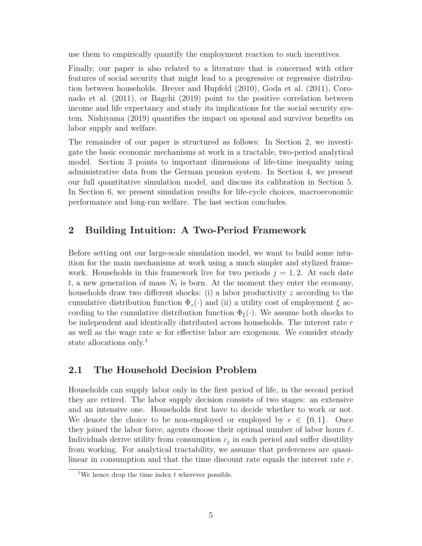use them to empirically quantify the employment reaction to such incentives.

Finally, our paper is also related to a literature that is concerned with other features of social security that might lead to a progressive or regressive distribution between households. Breyer and Hupfeld (2010), Goda et al. (2011), Coronado et al. (2011), or Bagchi (2019) point to the positive correlation between income and life expectancy and study its implications for the social security system. Nishiyama (2019) quantifies the impact on spousal and survivor benefits on labor supply and welfare.

The remainder of our paper is structured as follows: In Section 2, we investigate the basic economic mechanisms at work in a tractable, two-period analytical model. Section 3 points to important dimensions of life-time inequality using administrative data from the German pension system. In Section 4, we present our full quantitative simulation model, and discuss its calibration in Section 5. In Section 6, we present simulation results for life-cycle choices, macroeconomic performance and long-run welfare. The last section concludes.

# **2 Building Intuition: A Two-Period Framework**

Before setting out our large-scale simulation model, we want to build some intuition for the main mechanisms at work using a much simpler and stylized framework. Households in this framework live for two periods  $j = 1, 2$ . At each date  $t$ , a new generation of mass  $N_t$  is born. At the moment they enter the economy, households draw two different shocks: (i) a labor productivity *z* according to the cumulative distribution function  $\Phi_z(\cdot)$  and (ii) a utility cost of employment  $\xi$  according to the cumulative distribution function  $\Phi_{\xi}(\cdot)$ . We assume both shocks to be independent and identically distributed across households. The interest rate *r* as well as the wage rate *w* for effective labor are exogenous. We consider steady state allocations only.<sup>1</sup>

## **2.1 The Household Decision Problem**

Households can supply labor only in the first period of life, in the second period they are retired. The labor supply decision consists of two stages: an extensive and an intensive one. Households first have to decide whether to work or not. We denote the choice to be non-employed or employed by  $e \in \{0, 1\}$ . Once they joined the labor force, agents choose their optimal number of labor hours  $\ell$ . Individuals derive utility from consumption  $c_j$  in each period and suffer disutility from working. For analytical tractability, we assume that preferences are quasilinear in consumption and that the time discount rate equals the interest rate *r*.

<sup>&</sup>lt;sup>1</sup>We hence drop the time index  $t$  wherever possible.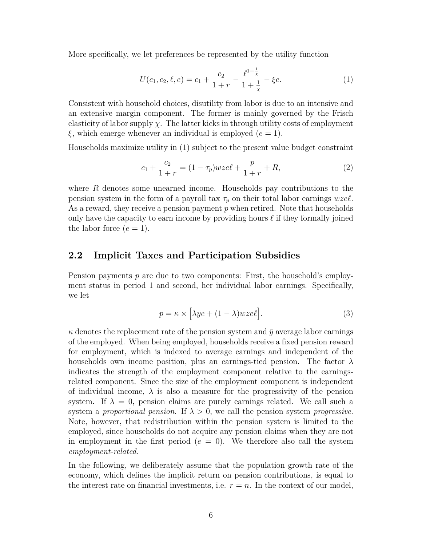More specifically, we let preferences be represented by the utility function

$$
U(c_1, c_2, \ell, e) = c_1 + \frac{c_2}{1+r} - \frac{\ell^{1+\frac{1}{\chi}}}{1+\frac{1}{\chi}} - \xi e.
$$
 (1)

Consistent with household choices, disutility from labor is due to an intensive and an extensive margin component. The former is mainly governed by the Frisch elasticity of labor supply  $\chi$ . The latter kicks in through utility costs of employment *ξ*, which emerge whenever an individual is employed (*e* = 1).

Households maximize utility in (1) subject to the present value budget constraint

$$
c_1 + \frac{c_2}{1+r} = (1 - \tau_p)wze\ell + \frac{p}{1+r} + R,\tag{2}
$$

where *R* denotes some unearned income. Households pay contributions to the pension system in the form of a payroll tax  $\tau_p$  on their total labor earnings *wzel*. As a reward, they receive a pension payment *p* when retired. Note that households only have the capacity to earn income by providing hours  $\ell$  if they formally joined the labor force  $(e = 1)$ .

### **2.2 Implicit Taxes and Participation Subsidies**

Pension payments *p* are due to two components: First, the household's employment status in period 1 and second, her individual labor earnings. Specifically, we let

$$
p = \kappa \times \left[ \lambda \bar{y} e + (1 - \lambda) w z e \ell \right]. \tag{3}
$$

 $\kappa$  denotes the replacement rate of the pension system and  $\bar{y}$  average labor earnings of the employed. When being employed, households receive a fixed pension reward for employment, which is indexed to average earnings and independent of the households own income position, plus an earnings-tied pension. The factor *λ* indicates the strength of the employment component relative to the earningsrelated component. Since the size of the employment component is independent of individual income,  $\lambda$  is also a measure for the progressivity of the pension system. If  $\lambda = 0$ , pension claims are purely earnings related. We call such a system a *proportional pension*. If *λ >* 0, we call the pension system *progressive*. Note, however, that redistribution within the pension system is limited to the employed, since households do not acquire any pension claims when they are not in employment in the first period  $(e = 0)$ . We therefore also call the system *employment-related*.

In the following, we deliberately assume that the population growth rate of the economy, which defines the implicit return on pension contributions, is equal to the interest rate on financial investments, i.e.  $r = n$ . In the context of our model,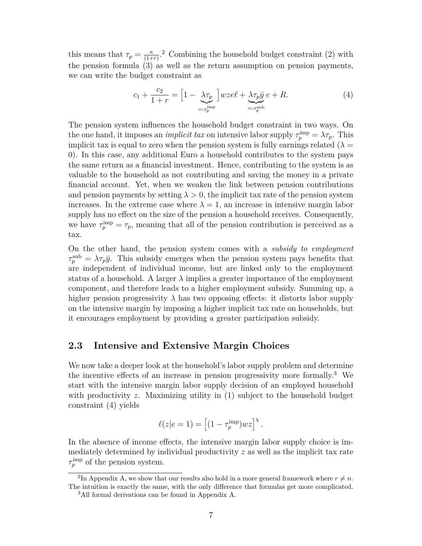this means that  $\tau_p = \frac{\kappa}{(1+\kappa)^2}$  $\frac{\kappa}{(1+r)}$ <sup>2</sup> Combining the household budget constraint (2) with the pension formula (3) as well as the return assumption on pension payments, we can write the budget constraint as

$$
c_1 + \frac{c_2}{1+r} = \left[1 - \underbrace{\lambda \tau_p}_{=: \tau_p^{\text{imp}}} \right] wze\ell + \underbrace{\lambda \tau_p \bar{y}}_{=: \tau_p^{\text{sub}}} e + R. \tag{4}
$$

The pension system influences the household budget constraint in two ways. On the one hand, it imposes an *implicit tax* on intensive labor supply  $\tau_p^{\text{imp}} = \lambda \tau_p$ . This implicit tax is equal to zero when the pension system is fully earnings related  $(\lambda =$ 0). In this case, any additional Euro a household contributes to the system pays the same return as a financial investment. Hence, contributing to the system is as valuable to the household as not contributing and saving the money in a private financial account. Yet, when we weaken the link between pension contributions and pension payments by setting  $\lambda > 0$ , the implicit tax rate of the pension system increases. In the extreme case where  $\lambda = 1$ , an increase in intensive margin labor supply has no effect on the size of the pension a household receives. Consequently, we have  $\tau_p^{\text{imp}} = \tau_p$ , meaning that all of the pension contribution is perceived as a tax.

On the other hand, the pension system comes with a *subsidy to employment*  $\tau_p^{\text{sub}} = \lambda \tau_p \bar{y}$ . This subsidy emerges when the pension system pays benefits that are independent of individual income, but are linked only to the employment status of a household. A larger  $\lambda$  implies a greater importance of the employment component, and therefore leads to a higher employment subsidy. Summing up, a higher pension progressivity  $\lambda$  has two opposing effects: it distorts labor supply on the intensive margin by imposing a higher implicit tax rate on households, but it encourages employment by providing a greater participation subsidy.

### **2.3 Intensive and Extensive Margin Choices**

We now take a deeper look at the household's labor supply problem and determine the incentive effects of an increase in pension progressivity more formally.<sup>3</sup> We start with the intensive margin labor supply decision of an employed household with productivity *z*. Maximizing utility in (1) subject to the household budget constraint (4) yields

$$
\ell(z|e=1) = \left[ (1 - \tau_p^{\text{imp}})wz \right]^{\chi}.
$$

In the absence of income effects, the intensive margin labor supply choice is immediately determined by individual productivity *z* as well as the implicit tax rate  $\tau_p^{\text{imp}}$  of the pension system.

<sup>&</sup>lt;sup>2</sup>In Appendix A, we show that our results also hold in a more general framework where  $r \neq n$ . The intuition is exactly the same, with the only difference that formulas get more complicated.

<sup>3</sup>All formal derivations can be found in Appendix A.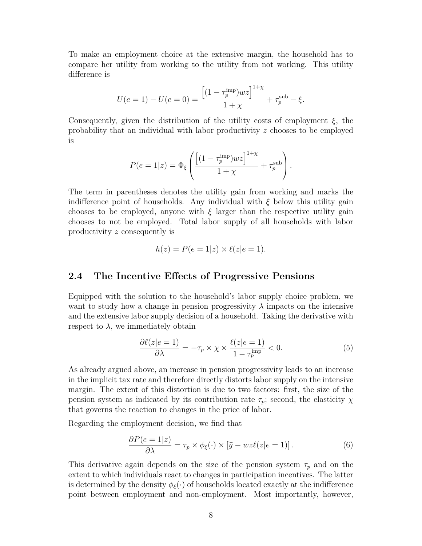To make an employment choice at the extensive margin, the household has to compare her utility from working to the utility from not working. This utility difference is

$$
U(e = 1) - U(e = 0) = \frac{\left[ (1 - \tau_p^{imp})wz \right]^{1+\chi}}{1+\chi} + \tau_p^{sub} - \xi.
$$

Consequently, given the distribution of the utility costs of employment *ξ*, the probability that an individual with labor productivity *z* chooses to be employed is

$$
P(e=1|z) = \Phi_{\xi} \left( \frac{\left[ (1 - \tau_p^{\text{imp}})wz \right]^{1+\chi}}{1+\chi} + \tau_p^{\text{sub}} \right).
$$

The term in parentheses denotes the utility gain from working and marks the indifference point of households. Any individual with  $\xi$  below this utility gain chooses to be employed, anyone with  $\xi$  larger than the respective utility gain chooses to not be employed. Total labor supply of all households with labor productivity *z* consequently is

$$
h(z) = P(e = 1|z) \times \ell(z|e = 1).
$$

### **2.4 The Incentive Effects of Progressive Pensions**

Equipped with the solution to the household's labor supply choice problem, we want to study how a change in pension progressivity  $\lambda$  impacts on the intensive and the extensive labor supply decision of a household. Taking the derivative with respect to  $\lambda$ , we immediately obtain

$$
\frac{\partial \ell(z|e=1)}{\partial \lambda} = -\tau_p \times \chi \times \frac{\ell(z|e=1)}{1 - \tau_p^{\text{imp}}} < 0. \tag{5}
$$

As already argued above, an increase in pension progressivity leads to an increase in the implicit tax rate and therefore directly distorts labor supply on the intensive margin. The extent of this distortion is due to two factors: first, the size of the pension system as indicated by its contribution rate  $\tau_p$ ; second, the elasticity  $\chi$ that governs the reaction to changes in the price of labor.

Regarding the employment decision, we find that

$$
\frac{\partial P(e=1|z)}{\partial \lambda} = \tau_p \times \phi_{\xi}(\cdot) \times [\bar{y} - wz\ell(z|e=1)]. \tag{6}
$$

This derivative again depends on the size of the pension system  $\tau_p$  and on the extent to which individuals react to changes in participation incentives. The latter is determined by the density  $\phi_{\xi}(\cdot)$  of households located exactly at the indifference point between employment and non-employment. Most importantly, however,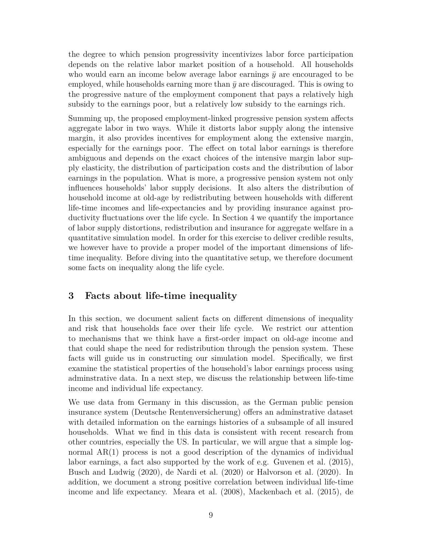the degree to which pension progressivity incentivizes labor force participation depends on the relative labor market position of a household. All households who would earn an income below average labor earnings  $\bar{y}$  are encouraged to be employed, while households earning more than  $\bar{y}$  are discouraged. This is owing to the progressive nature of the employment component that pays a relatively high subsidy to the earnings poor, but a relatively low subsidy to the earnings rich.

Summing up, the proposed employment-linked progressive pension system affects aggregate labor in two ways. While it distorts labor supply along the intensive margin, it also provides incentives for employment along the extensive margin, especially for the earnings poor. The effect on total labor earnings is therefore ambiguous and depends on the exact choices of the intensive margin labor supply elasticity, the distribution of participation costs and the distribution of labor earnings in the population. What is more, a progressive pension system not only influences households' labor supply decisions. It also alters the distribution of household income at old-age by redistributing between households with different life-time incomes and life-expectancies and by providing insurance against productivity fluctuations over the life cycle. In Section 4 we quantify the importance of labor supply distortions, redistribution and insurance for aggregate welfare in a quantitative simulation model. In order for this exercise to deliver credible results, we however have to provide a proper model of the important dimensions of lifetime inequality. Before diving into the quantitative setup, we therefore document some facts on inequality along the life cycle.

### **3 Facts about life-time inequality**

In this section, we document salient facts on different dimensions of inequality and risk that households face over their life cycle. We restrict our attention to mechanisms that we think have a first-order impact on old-age income and that could shape the need for redistribution through the pension system. These facts will guide us in constructing our simulation model. Specifically, we first examine the statistical properties of the household's labor earnings process using adminstrative data. In a next step, we discuss the relationship between life-time income and individual life expectancy.

We use data from Germany in this discussion, as the German public pension insurance system (Deutsche Rentenversicherung) offers an adminstrative dataset with detailed information on the earnings histories of a subsample of all insured households. What we find in this data is consistent with recent research from other countries, especially the US. In particular, we will argue that a simple lognormal AR(1) process is not a good description of the dynamics of individual labor earnings, a fact also supported by the work of e.g. Guvenen et al. (2015), Busch and Ludwig (2020), de Nardi et al. (2020) or Halvorson et al. (2020). In addition, we document a strong positive correlation between individual life-time income and life expectancy. Meara et al. (2008), Mackenbach et al. (2015), de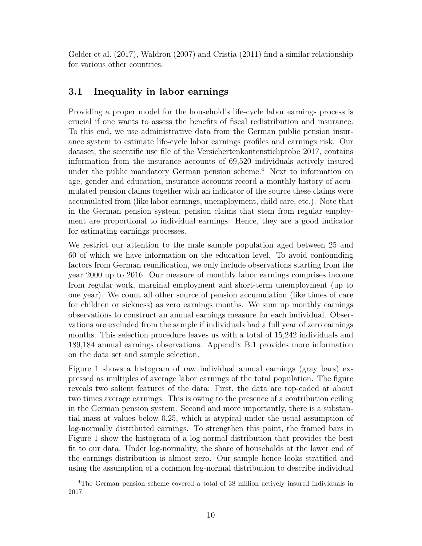Gelder et al. (2017), Waldron (2007) and Cristia (2011) find a similar relationship for various other countries.

# **3.1 Inequality in labor earnings**

Providing a proper model for the household's life-cycle labor earnings process is crucial if one wants to assess the benefits of fiscal redistribution and insurance. To this end, we use administrative data from the German public pension insurance system to estimate life-cycle labor earnings profiles and earnings risk. Our dataset, the scientific use file of the Versichertenkontenstichprobe 2017, contains information from the insurance accounts of 69,520 individuals actively insured under the public mandatory German pension scheme.<sup>4</sup> Next to information on age, gender and education, insurance accounts record a monthly history of accumulated pension claims together with an indicator of the source these claims were accumulated from (like labor earnings, unemployment, child care, etc.). Note that in the German pension system, pension claims that stem from regular employment are proportional to individual earnings. Hence, they are a good indicator for estimating earnings processes.

We restrict our attention to the male sample population aged between 25 and 60 of which we have information on the education level. To avoid confounding factors from German reunification, we only include observations starting from the year 2000 up to 2016. Our measure of monthly labor earnings comprises income from regular work, marginal employment and short-term unemployment (up to one year). We count all other source of pension accumulation (like times of care for children or sickness) as zero earnings months. We sum up monthly earnings observations to construct an annual earnings measure for each individual. Observations are excluded from the sample if individuals had a full year of zero earnings months. This selection procedure leaves us with a total of 15,242 individuals and 189,184 annual earnings observations. Appendix B.1 provides more information on the data set and sample selection.

Figure 1 shows a histogram of raw individual annual earnings (gray bars) expressed as multiples of average labor earnings of the total population. The figure reveals two salient features of the data: First, the data are top-coded at about two times average earnings. This is owing to the presence of a contribution ceiling in the German pension system. Second and more importantly, there is a substantial mass at values below 0.25, which is atypical under the usual assumption of log-normally distributed earnings. To strengthen this point, the framed bars in Figure 1 show the histogram of a log-normal distribution that provides the best fit to our data. Under log-normality, the share of households at the lower end of the earnings distribution is almost zero. Our sample hence looks stratified and using the assumption of a common log-normal distribution to describe individual

<sup>4</sup>The German pension scheme covered a total of 38 million actively insured individuals in 2017.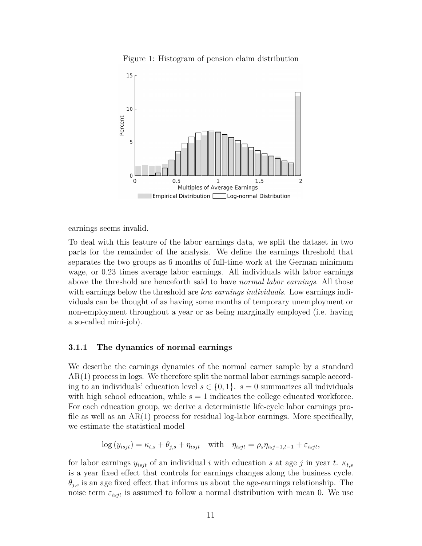



earnings seems invalid.

To deal with this feature of the labor earnings data, we split the dataset in two parts for the remainder of the analysis. We define the earnings threshold that separates the two groups as 6 months of full-time work at the German minimum wage, or 0.23 times average labor earnings. All individuals with labor earnings above the threshold are henceforth said to have *normal labor earnings*. All those with earnings below the threshold are *low earnings individuals*. Low earnings individuals can be thought of as having some months of temporary unemployment or non-employment throughout a year or as being marginally employed (i.e. having a so-called mini-job).

#### **3.1.1 The dynamics of normal earnings**

We describe the earnings dynamics of the normal earner sample by a standard AR(1) process in logs. We therefore split the normal labor earnings sample according to an individuals' education level  $s \in \{0, 1\}$ .  $s = 0$  summarizes all individuals with high school education, while  $s = 1$  indicates the college educated workforce. For each education group, we derive a deterministic life-cycle labor earnings profile as well as an  $AR(1)$  process for residual log-labor earnings. More specifically, we estimate the statistical model

$$
\log(y_{isjt}) = \kappa_{t,s} + \theta_{j,s} + \eta_{isjt} \quad \text{with} \quad \eta_{isjt} = \rho_s \eta_{isj-1,t-1} + \varepsilon_{isjt},
$$

for labor earnings  $y_{isjt}$  of an individual *i* with education *s* at age *j* in year *t*.  $\kappa_{t,s}$ is a year fixed effect that controls for earnings changes along the business cycle.  $\theta_{j,s}$  is an age fixed effect that informs us about the age-earnings relationship. The noise term  $\varepsilon_{isjt}$  is assumed to follow a normal distribution with mean 0. We use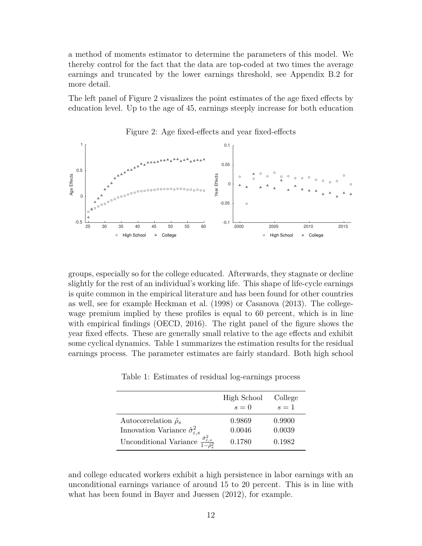a method of moments estimator to determine the parameters of this model. We thereby control for the fact that the data are top-coded at two times the average earnings and truncated by the lower earnings threshold, see Appendix B.2 for more detail.

The left panel of Figure 2 visualizes the point estimates of the age fixed effects by education level. Up to the age of 45, earnings steeply increase for both education



Figure 2: Age fixed-effects and year fixed-effects

groups, especially so for the college educated. Afterwards, they stagnate or decline slightly for the rest of an individual's working life. This shape of life-cycle earnings is quite common in the empirical literature and has been found for other countries as well, see for example Heckman et al. (1998) or Casanova (2013). The collegewage premium implied by these profiles is equal to 60 percent, which is in line with empirical findings (OECD, 2016). The right panel of the figure shows the year fixed effects. These are generally small relative to the age effects and exhibit some cyclical dynamics. Table 1 summarizes the estimation results for the residual earnings process. The parameter estimates are fairly standard. Both high school

Table 1: Estimates of residual log-earnings process

|                                                                                              | High School<br>$s=0$ | College<br>$s=1$ |
|----------------------------------------------------------------------------------------------|----------------------|------------------|
| Autocorrelation $\hat{\rho}_s$<br>Innovation Variance $\hat{\sigma}^2_{\varepsilon,s}$       | 0.9869<br>0.0046     | 0.9900<br>0.0039 |
| $\frac{\hat{\sigma}_{\varepsilon,s}^2}{\hat{\sigma}-\hat{\rho}^2}$<br>Unconditional Variance | 0.1780               | 0.1982           |

and college educated workers exhibit a high persistence in labor earnings with an unconditional earnings variance of around 15 to 20 percent. This is in line with what has been found in Bayer and Juessen (2012), for example.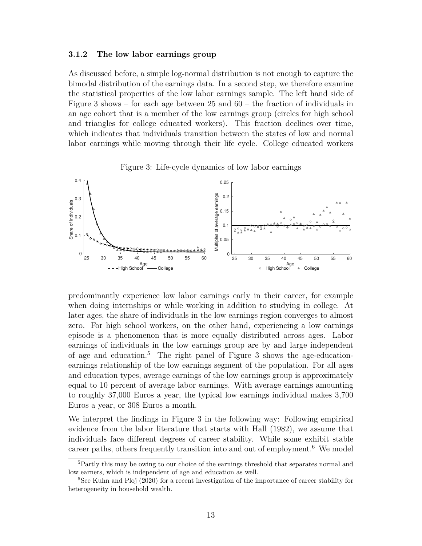#### **3.1.2 The low labor earnings group**

As discussed before, a simple log-normal distribution is not enough to capture the bimodal distribution of the earnings data. In a second step, we therefore examine the statistical properties of the low labor earnings sample. The left hand side of Figure 3 shows – for each age between 25 and 60 – the fraction of individuals in an age cohort that is a member of the low earnings group (circles for high school and triangles for college educated workers). This fraction declines over time, which indicates that individuals transition between the states of low and normal labor earnings while moving through their life cycle. College educated workers





predominantly experience low labor earnings early in their career, for example when doing internships or while working in addition to studying in college. At later ages, the share of individuals in the low earnings region converges to almost zero. For high school workers, on the other hand, experiencing a low earnings episode is a phenomenon that is more equally distributed across ages. Labor earnings of individuals in the low earnings group are by and large independent of age and education.<sup>5</sup> The right panel of Figure 3 shows the age-educationearnings relationship of the low earnings segment of the population. For all ages and education types, average earnings of the low earnings group is approximately equal to 10 percent of average labor earnings. With average earnings amounting to roughly 37,000 Euros a year, the typical low earnings individual makes 3,700 Euros a year, or 308 Euros a month.

We interpret the findings in Figure 3 in the following way: Following empirical evidence from the labor literature that starts with Hall (1982), we assume that individuals face different degrees of career stability. While some exhibit stable career paths, others frequently transition into and out of employment.<sup>6</sup> We model

<sup>&</sup>lt;sup>5</sup>Partly this may be owing to our choice of the earnings threshold that separates normal and low earners, which is independent of age and education as well.

<sup>&</sup>lt;sup>6</sup>See Kuhn and Ploj (2020) for a recent investigation of the importance of career stability for heterogeneity in household wealth.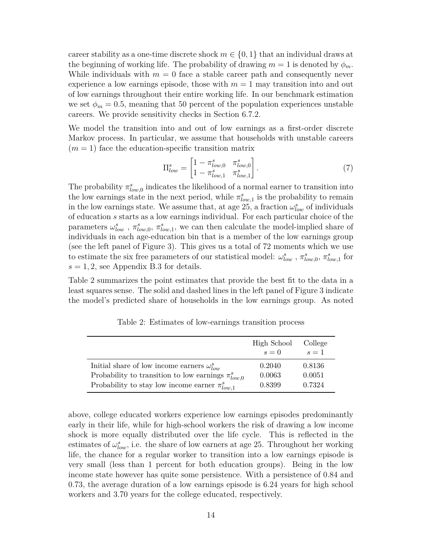career stability as a one-time discrete shock  $m \in \{0, 1\}$  that an individual draws at the beginning of working life. The probability of drawing  $m = 1$  is denoted by  $\phi_m$ . While individuals with  $m = 0$  face a stable career path and consequently never experience a low earnings episode, those with  $m = 1$  may transition into and out of low earnings throughout their entire working life. In our benchmark estimation we set  $\phi_m = 0.5$ , meaning that 50 percent of the population experiences unstable careers. We provide sensitivity checks in Section 6.7.2.

We model the transition into and out of low earnings as a first-order discrete Markov process. In particular, we assume that households with unstable careers  $(m = 1)$  face the education-specific transition matrix

$$
\Pi_{low}^{s} = \begin{bmatrix} 1 - \pi_{low,0}^{s} & \pi_{low,0}^{s} \\ 1 - \pi_{low,1}^{s} & \pi_{low,1}^{s} \end{bmatrix} . \tag{7}
$$

The probability  $\pi_{low,0}^s$  indicates the likelihood of a normal earner to transition into the low earnings state in the next period, while  $\pi_{low,1}^s$  is the probability to remain in the low earnings state. We assume that, at age 25, a fraction  $\omega_{low}^s$  of individuals of education *s* starts as a low earnings individual. For each particular choice of the parameters  $\omega_{low}^s$ ,  $\pi_{low,0}^s$ ,  $\pi_{low,1}^s$ , we can then calculate the model-implied share of individuals in each age-education bin that is a member of the low earnings group (see the left panel of Figure 3). This gives us a total of 72 moments which we use to estimate the six free parameters of our statistical model:  $\omega_{low}^s$ ,  $\pi_{low,0}^s$ ,  $\pi_{low,1}^s$  for  $s = 1, 2$ , see Appendix B.3 for details.

Table 2 summarizes the point estimates that provide the best fit to the data in a least squares sense. The solid and dashed lines in the left panel of Figure 3 indicate the model's predicted share of households in the low earnings group. As noted

|                                                           | High School<br>$s=0$ | College<br>$s=1$ |
|-----------------------------------------------------------|----------------------|------------------|
| Initial share of low income earners $\omega_{low}^s$      | 0.2040               | 0.8136           |
| Probability to transition to low earnings $\pi_{low,0}^s$ | 0.0063               | 0.0051           |
| Probability to stay low income earner $\pi_{low,1}^s$     | 0.8399               | 0.7324           |

Table 2: Estimates of low-earnings transition process

above, college educated workers experience low earnings episodes predominantly early in their life, while for high-school workers the risk of drawing a low income shock is more equally distributed over the life cycle. This is reflected in the estimates of  $\omega_{low}^s$ , i.e. the share of low earners at age 25. Throughout her working life, the chance for a regular worker to transition into a low earnings episode is very small (less than 1 percent for both education groups). Being in the low income state however has quite some persistence. With a persistence of 0*.*84 and 0*.*73, the average duration of a low earnings episode is 6.24 years for high school workers and 3.70 years for the college educated, respectively.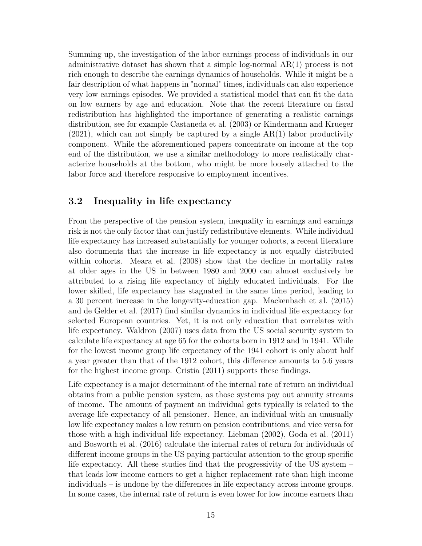Summing up, the investigation of the labor earnings process of individuals in our administrative dataset has shown that a simple log-normal AR(1) process is not rich enough to describe the earnings dynamics of households. While it might be a fair description of what happens in "normal" times, individuals can also experience very low earnings episodes. We provided a statistical model that can fit the data on low earners by age and education. Note that the recent literature on fiscal redistribution has highlighted the importance of generating a realistic earnings distribution, see for example Castaneda et al. (2003) or Kindermann and Krueger  $(2021)$ , which can not simply be captured by a single AR(1) labor productivity component. While the aforementioned papers concentrate on income at the top end of the distribution, we use a similar methodology to more realistically characterize households at the bottom, who might be more loosely attached to the labor force and therefore responsive to employment incentives.

### **3.2 Inequality in life expectancy**

From the perspective of the pension system, inequality in earnings and earnings risk is not the only factor that can justify redistributive elements. While individual life expectancy has increased substantially for younger cohorts, a recent literature also documents that the increase in life expectancy is not equally distributed within cohorts. Meara et al. (2008) show that the decline in mortality rates at older ages in the US in between 1980 and 2000 can almost exclusively be attributed to a rising life expectancy of highly educated individuals. For the lower skilled, life expectancy has stagnated in the same time period, leading to a 30 percent increase in the longevity-education gap. Mackenbach et al. (2015) and de Gelder et al. (2017) find similar dynamics in individual life expectancy for selected European countries. Yet, it is not only education that correlates with life expectancy. Waldron (2007) uses data from the US social security system to calculate life expectancy at age 65 for the cohorts born in 1912 and in 1941. While for the lowest income group life expectancy of the 1941 cohort is only about half a year greater than that of the 1912 cohort, this difference amounts to 5.6 years for the highest income group. Cristia (2011) supports these findings.

Life expectancy is a major determinant of the internal rate of return an individual obtains from a public pension system, as those systems pay out annuity streams of income. The amount of payment an individual gets typically is related to the average life expectancy of all pensioner. Hence, an individual with an unusually low life expectancy makes a low return on pension contributions, and vice versa for those with a high individual life expectancy. Liebman (2002), Goda et al. (2011) and Bosworth et al. (2016) calculate the internal rates of return for individuals of different income groups in the US paying particular attention to the group specific life expectancy. All these studies find that the progressivity of the US system – that leads low income earners to get a higher replacement rate than high income individuals – is undone by the differences in life expectancy across income groups. In some cases, the internal rate of return is even lower for low income earners than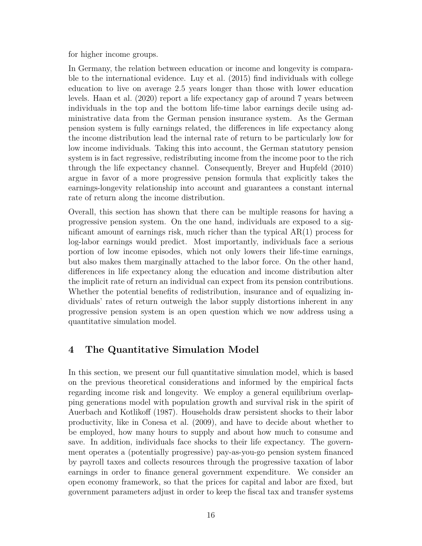for higher income groups.

In Germany, the relation between education or income and longevity is comparable to the international evidence. Luy et al. (2015) find individuals with college education to live on average 2.5 years longer than those with lower education levels. Haan et al. (2020) report a life expectancy gap of around 7 years between individuals in the top and the bottom life-time labor earnings decile using administrative data from the German pension insurance system. As the German pension system is fully earnings related, the differences in life expectancy along the income distribution lead the internal rate of return to be particularly low for low income individuals. Taking this into account, the German statutory pension system is in fact regressive, redistributing income from the income poor to the rich through the life expectancy channel. Consequently, Breyer and Hupfeld (2010) argue in favor of a more progressive pension formula that explicitly takes the earnings-longevity relationship into account and guarantees a constant internal rate of return along the income distribution.

Overall, this section has shown that there can be multiple reasons for having a progressive pension system. On the one hand, individuals are exposed to a significant amount of earnings risk, much richer than the typical  $AR(1)$  process for log-labor earnings would predict. Most importantly, individuals face a serious portion of low income episodes, which not only lowers their life-time earnings, but also makes them marginally attached to the labor force. On the other hand, differences in life expectancy along the education and income distribution alter the implicit rate of return an individual can expect from its pension contributions. Whether the potential benefits of redistribution, insurance and of equalizing individuals' rates of return outweigh the labor supply distortions inherent in any progressive pension system is an open question which we now address using a quantitative simulation model.

# **4 The Quantitative Simulation Model**

In this section, we present our full quantitative simulation model, which is based on the previous theoretical considerations and informed by the empirical facts regarding income risk and longevity. We employ a general equilibrium overlapping generations model with population growth and survival risk in the spirit of Auerbach and Kotlikoff (1987). Households draw persistent shocks to their labor productivity, like in Conesa et al. (2009), and have to decide about whether to be employed, how many hours to supply and about how much to consume and save. In addition, individuals face shocks to their life expectancy. The government operates a (potentially progressive) pay-as-you-go pension system financed by payroll taxes and collects resources through the progressive taxation of labor earnings in order to finance general government expenditure. We consider an open economy framework, so that the prices for capital and labor are fixed, but government parameters adjust in order to keep the fiscal tax and transfer systems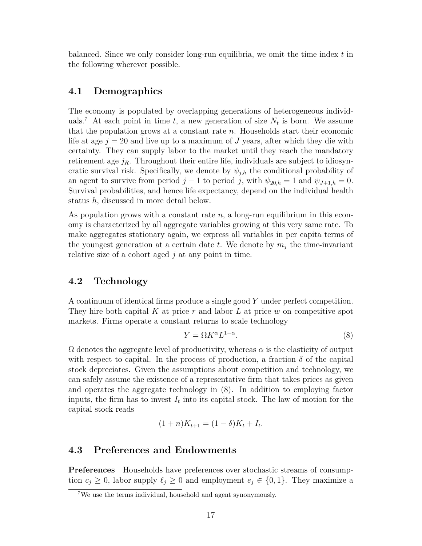balanced. Since we only consider long-run equilibria, we omit the time index *t* in the following wherever possible.

### **4.1 Demographics**

The economy is populated by overlapping generations of heterogeneous individuals.<sup>7</sup> At each point in time  $t$ , a new generation of size  $N_t$  is born. We assume that the population grows at a constant rate *n*. Households start their economic life at age *j* = 20 and live up to a maximum of *J* years, after which they die with certainty. They can supply labor to the market until they reach the mandatory retirement age  $j_R$ . Throughout their entire life, individuals are subject to idiosyncratic survival risk. Specifically, we denote by  $\psi_{j,h}$  the conditional probability of an agent to survive from period  $j - 1$  to period *j*, with  $\psi_{20,h} = 1$  and  $\psi_{J+1,h} = 0$ . Survival probabilities, and hence life expectancy, depend on the individual health status *h*, discussed in more detail below.

As population grows with a constant rate *n*, a long-run equilibrium in this economy is characterized by all aggregate variables growing at this very same rate. To make aggregates stationary again, we express all variables in per capita terms of the youngest generation at a certain date  $t$ . We denote by  $m_i$  the time-invariant relative size of a cohort aged *j* at any point in time.

### **4.2 Technology**

A continuum of identical firms produce a single good *Y* under perfect competition. They hire both capital *K* at price *r* and labor *L* at price *w* on competitive spot markets. Firms operate a constant returns to scale technology

$$
Y = \Omega K^{\alpha} L^{1-\alpha}.
$$
 (8)

 $\Omega$  denotes the aggregate level of productivity, whereas  $\alpha$  is the elasticity of output with respect to capital. In the process of production, a fraction  $\delta$  of the capital stock depreciates. Given the assumptions about competition and technology, we can safely assume the existence of a representative firm that takes prices as given and operates the aggregate technology in (8). In addition to employing factor inputs, the firm has to invest  $I_t$  into its capital stock. The law of motion for the capital stock reads

$$
(1+n)K_{t+1} = (1-\delta)K_t + I_t.
$$

### **4.3 Preferences and Endowments**

**Preferences** Households have preferences over stochastic streams of consumption  $c_j \geq 0$ , labor supply  $\ell_j \geq 0$  and employment  $e_j \in \{0, 1\}$ . They maximize a

 ${\rm ^7We}$  use the terms individual, household and agent synonymously.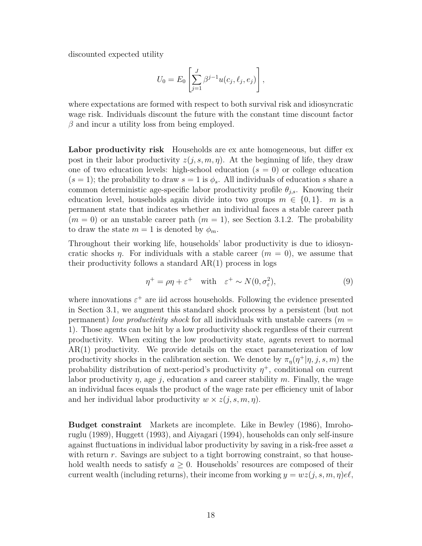discounted expected utility

$$
U_0=E_0\left[\sum_{j=1}^J\beta^{j-1}u(c_j,\ell_j,e_j)\right],
$$

where expectations are formed with respect to both survival risk and idiosyncratic wage risk. Individuals discount the future with the constant time discount factor *β* and incur a utility loss from being employed.

**Labor productivity risk** Households are ex ante homogeneous, but differ ex post in their labor productivity  $z(j, s, m, \eta)$ . At the beginning of life, they draw one of two education levels: high-school education  $(s = 0)$  or college education  $(s = 1)$ ; the probability to draw  $s = 1$  is  $\phi_s$ . All individuals of education *s* share a common deterministic age-specific labor productivity profile  $\theta_{j,s}$ . Knowing their education level, households again divide into two groups  $m \in \{0,1\}$ . *m* is a permanent state that indicates whether an individual faces a stable career path  $(m = 0)$  or an unstable career path  $(m = 1)$ , see Section 3.1.2. The probability to draw the state  $m = 1$  is denoted by  $\phi_m$ .

Throughout their working life, households' labor productivity is due to idiosyncratic shocks *η*. For individuals with a stable career  $(m = 0)$ , we assume that their productivity follows a standard  $AR(1)$  process in logs

$$
\eta^+ = \rho \eta + \varepsilon^+ \quad \text{with} \quad \varepsilon^+ \sim N(0, \sigma_\varepsilon^2), \tag{9}
$$

where innovations  $\varepsilon^+$  are iid across households. Following the evidence presented in Section 3.1, we augment this standard shock process by a persistent (but not permanent) *low productivity shock* for all individuals with unstable careers (*m* = 1). Those agents can be hit by a low productivity shock regardless of their current productivity. When exiting the low productivity state, agents revert to normal AR(1) productivity. We provide details on the exact parameterization of low productivity shocks in the calibration section. We denote by  $\pi_{\eta}(\eta^+|\eta, j, s, m)$  the probability distribution of next-period's productivity *η* <sup>+</sup>, conditional on current labor productivity *η*, age *j*, education *s* and career stability *m*. Finally, the wage an individual faces equals the product of the wage rate per efficiency unit of labor and her individual labor productivity  $w \times z(j, s, m, \eta)$ .

**Budget constraint** Markets are incomplete. Like in Bewley (1986), Imrohoruglu (1989), Huggett (1993), and Aiyagari (1994), households can only self-insure against fluctuations in individual labor productivity by saving in a risk-free asset *a* with return *r*. Savings are subject to a tight borrowing constraint, so that household wealth needs to satisfy  $a \geq 0$ . Households' resources are composed of their current wealth (including returns), their income from working  $y = wz(j, s, m, \eta)e^{\theta}$ ,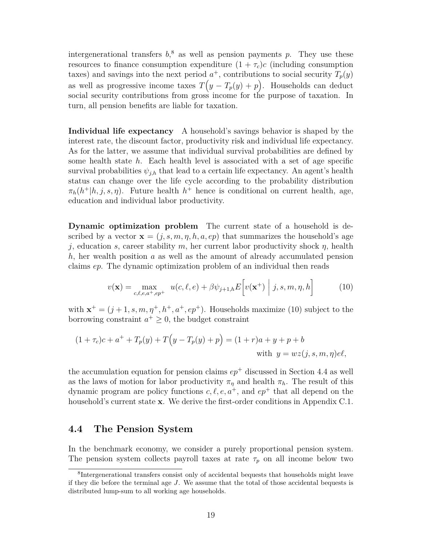intergenerational transfers  $b<sub>1</sub><sup>8</sup>$  as well as pension payments p. They use these resources to finance consumption expenditure  $(1 + \tau_c)c$  (including consumption taxes) and savings into the next period  $a^+$ , contributions to social security  $T_p(y)$ as well as progressive income taxes  $T(y - T_p(y) + p)$ . Households can deduct social security contributions from gross income for the purpose of taxation. In turn, all pension benefits are liable for taxation.

**Individual life expectancy** A household's savings behavior is shaped by the interest rate, the discount factor, productivity risk and individual life expectancy. As for the latter, we assume that individual survival probabilities are defined by some health state *h*. Each health level is associated with a set of age specific survival probabilities  $\psi_{i,h}$  that lead to a certain life expectancy. An agent's health status can change over the life cycle according to the probability distribution  $\pi_h(h^+|h,j,s,\eta)$ . Future health  $h^+$  hence is conditional on current health, age, education and individual labor productivity.

**Dynamic optimization problem** The current state of a household is described by a vector  $\mathbf{x} = (j, s, m, \eta, h, a, ep)$  that summarizes the household's age *j*, education *s*, career stability *m*, her current labor productivity shock *η*, health *h*, her wealth position *a* as well as the amount of already accumulated pension claims *ep*. The dynamic optimization problem of an individual then reads

$$
v(\mathbf{x}) = \max_{c,\ell,e,a^+,ep^+} u(c,\ell,e) + \beta \psi_{j+1,h} E\bigg[v(\mathbf{x}^+) \mid j,s,m,\eta,h\bigg]
$$
(10)

with  $\mathbf{x}^+ = (j+1, s, m, \eta^+, h^+, a^+, ep^+)$ . Households maximize (10) subject to the borrowing constraint  $a^+ \geq 0$ , the budget constraint

$$
(1 + \tau_c)c + a^+ + T_p(y) + T(y - T_p(y) + p) = (1 + r)a + y + p + b
$$
  
with  $y = wz(j, s, m, \eta)e\ell$ ,

the accumulation equation for pension claims  $ep<sup>+</sup>$  discussed in Section 4.4 as well as the laws of motion for labor productivity  $\pi_{\eta}$  and health  $\pi_{h}$ . The result of this dynamic program are policy functions  $c, \ell, e, a^+$ , and  $ep^+$  that all depend on the household's current state **x**. We derive the first-order conditions in Appendix C.1.

### **4.4 The Pension System**

In the benchmark economy, we consider a purely proportional pension system. The pension system collects payroll taxes at rate  $\tau_p$  on all income below two

<sup>8</sup> Intergenerational transfers consist only of accidental bequests that households might leave if they die before the terminal age *J*. We assume that the total of those accidental bequests is distributed lump-sum to all working age households.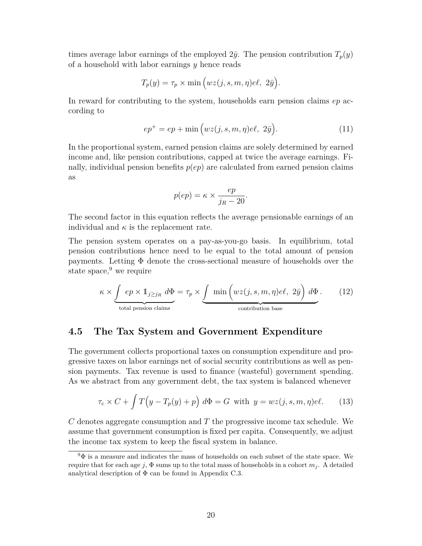times average labor earnings of the employed  $2\bar{y}$ . The pension contribution  $T_p(y)$ of a household with labor earnings *y* hence reads

$$
T_p(y) = \tau_p \times \min\left(wz(j, s, m, \eta)e\ell, 2\bar{y}\right).
$$

In reward for contributing to the system, households earn pension claims *ep* according to

$$
ep^{+} = ep + \min\left(wz(j, s, m, \eta)e\ell, 2\bar{y}\right).
$$
 (11)

In the proportional system, earned pension claims are solely determined by earned income and, like pension contributions, capped at twice the average earnings. Finally, individual pension benefits  $p(ep)$  are calculated from earned pension claims as

$$
p(ep) = \kappa \times \frac{ep}{j_R - 20}.
$$

The second factor in this equation reflects the average pensionable earnings of an individual and  $\kappa$  is the replacement rate.

The pension system operates on a pay-as-you-go basis. In equilibrium, total pension contributions hence need to be equal to the total amount of pension payments. Letting Φ denote the cross-sectional measure of households over the state space, $9$  we require

$$
\kappa \times \underbrace{\int ep \times 1_{j \ge j_R} d\Phi}_{\text{total pension claims}} = \tau_p \times \underbrace{\int \min \left( wz(j, s, m, \eta) e\ell, 2\bar{y} \right) d\Phi}_{\text{contribution base}}. \tag{12}
$$

### **4.5 The Tax System and Government Expenditure**

The government collects proportional taxes on consumption expenditure and progressive taxes on labor earnings net of social security contributions as well as pension payments. Tax revenue is used to finance (wasteful) government spending. As we abstract from any government debt, the tax system is balanced whenever

$$
\tau_c \times C + \int T\Big(y - T_p(y) + p\Big) \ d\Phi = G \text{ with } y = wz(j, s, m, \eta)e\ell. \tag{13}
$$

*C* denotes aggregate consumption and *T* the progressive income tax schedule. We assume that government consumption is fixed per capita. Consequently, we adjust the income tax system to keep the fiscal system in balance.

 $9\Phi$  is a measure and indicates the mass of households on each subset of the state space. We require that for each age *j*,  $\Phi$  sums up to the total mass of households in a cohort  $m_j$ . A detailed analytical description of  $\Phi$  can be found in Appendix C.3.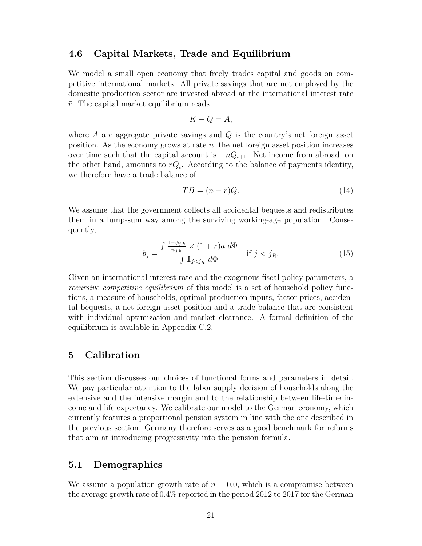### **4.6 Capital Markets, Trade and Equilibrium**

We model a small open economy that freely trades capital and goods on competitive international markets. All private savings that are not employed by the domestic production sector are invested abroad at the international interest rate  $\bar{r}$ . The capital market equilibrium reads

$$
K + Q = A,
$$

where *A* are aggregate private savings and *Q* is the country's net foreign asset position. As the economy grows at rate *n*, the net foreign asset position increases over time such that the capital account is  $-nQ_{t+1}$ . Net income from abroad, on the other hand, amounts to  $\bar{r}Q_t$ . According to the balance of payments identity, we therefore have a trade balance of

$$
TB = (n - \bar{r})Q. \tag{14}
$$

We assume that the government collects all accidental bequests and redistributes them in a lump-sum way among the surviving working-age population. Consequently,

$$
b_j = \frac{\int \frac{1 - \psi_{j,h}}{\psi_{j,h}} \times (1 + r)a \, d\Phi}{\int \mathbb{1}_{j < j_R} \, d\Phi} \quad \text{if } j < j_R. \tag{15}
$$

Given an international interest rate and the exogenous fiscal policy parameters, a *recursive competitive equilibrium* of this model is a set of household policy functions, a measure of households, optimal production inputs, factor prices, accidental bequests, a net foreign asset position and a trade balance that are consistent with individual optimization and market clearance. A formal definition of the equilibrium is available in Appendix C.2.

### **5 Calibration**

This section discusses our choices of functional forms and parameters in detail. We pay particular attention to the labor supply decision of households along the extensive and the intensive margin and to the relationship between life-time income and life expectancy. We calibrate our model to the German economy, which currently features a proportional pension system in line with the one described in the previous section. Germany therefore serves as a good benchmark for reforms that aim at introducing progressivity into the pension formula.

### **5.1 Demographics**

We assume a population growth rate of  $n = 0.0$ , which is a compromise between the average growth rate of 0*.*4% reported in the period 2012 to 2017 for the German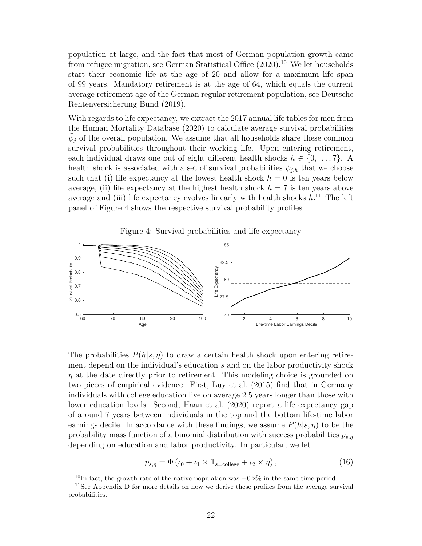population at large, and the fact that most of German population growth came from refugee migration, see German Statistical Office (2020).<sup>10</sup> We let households start their economic life at the age of 20 and allow for a maximum life span of 99 years. Mandatory retirement is at the age of 64, which equals the current average retirement age of the German regular retirement population, see Deutsche Rentenversicherung Bund (2019).

With regards to life expectancy, we extract the 2017 annual life tables for men from the Human Mortality Database (2020) to calculate average survival probabilities  $\bar{\psi}_j$  of the overall population. We assume that all households share these common survival probabilities throughout their working life. Upon entering retirement, each individual draws one out of eight different health shocks  $h \in \{0, \ldots, 7\}$ . A health shock is associated with a set of survival probabilities  $\psi_{i,h}$  that we choose such that (i) life expectancy at the lowest health shock  $h = 0$  is ten years below average, (ii) life expectancy at the highest health shock  $h = 7$  is ten years above average and (iii) life expectancy evolves linearly with health shocks *h*. <sup>11</sup> The left panel of Figure 4 shows the respective survival probability profiles.

Figure 4: Survival probabilities and life expectancy



The probabilities  $P(h|s, \eta)$  to draw a certain health shock upon entering retirement depend on the individual's education *s* and on the labor productivity shock *η* at the date directly prior to retirement. This modeling choice is grounded on two pieces of empirical evidence: First, Luy et al. (2015) find that in Germany individuals with college education live on average 2.5 years longer than those with lower education levels. Second, Haan et al. (2020) report a life expectancy gap of around 7 years between individuals in the top and the bottom life-time labor earnings decile. In accordance with these findings, we assume  $P(h|s, \eta)$  to be the probability mass function of a binomial distribution with success probabilities *ps,η* depending on education and labor productivity. In particular, we let

$$
p_{s,\eta} = \Phi\left(\iota_0 + \iota_1 \times \mathbb{1}_{s=\text{college}} + \iota_2 \times \eta\right),\tag{16}
$$

<sup>10</sup>In fact, the growth rate of the native population was −0*.*2% in the same time period.

<sup>11</sup>See Appendix D for more details on how we derive these profiles from the average survival probabilities.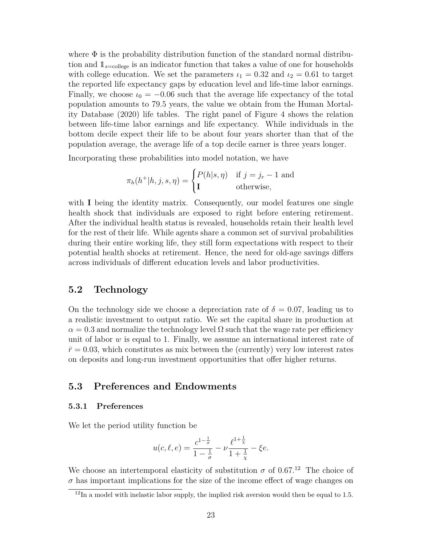where  $\Phi$  is the probability distribution function of the standard normal distribution and  $1_{s=\text{college}}$  is an indicator function that takes a value of one for households with college education. We set the parameters  $\iota_1 = 0.32$  and  $\iota_2 = 0.61$  to target the reported life expectancy gaps by education level and life-time labor earnings. Finally, we choose  $\iota_0 = -0.06$  such that the average life expectancy of the total population amounts to 79.5 years, the value we obtain from the Human Mortality Database (2020) life tables. The right panel of Figure 4 shows the relation between life-time labor earnings and life expectancy. While individuals in the bottom decile expect their life to be about four years shorter than that of the population average, the average life of a top decile earner is three years longer.

Incorporating these probabilities into model notation, we have

$$
\pi_h(h^+|h, j, s, \eta) = \begin{cases} P(h|s, \eta) & \text{if } j = j_r - 1 \text{ and} \\ \mathbf{I} & \text{otherwise,} \end{cases}
$$

with **I** being the identity matrix. Consequently, our model features one single health shock that individuals are exposed to right before entering retirement. After the individual health status is revealed, households retain their health level for the rest of their life. While agents share a common set of survival probabilities during their entire working life, they still form expectations with respect to their potential health shocks at retirement. Hence, the need for old-age savings differs across individuals of different education levels and labor productivities.

### **5.2 Technology**

On the technology side we choose a depreciation rate of  $\delta = 0.07$ , leading us to a realistic investment to output ratio. We set the capital share in production at  $\alpha = 0.3$  and normalize the technology level  $\Omega$  such that the wage rate per efficiency unit of labor *w* is equal to 1. Finally, we assume an international interest rate of  $\bar{r}=0.03$ , which constitutes as mix between the (currently) very low interest rates on deposits and long-run investment opportunities that offer higher returns.

### **5.3 Preferences and Endowments**

#### **5.3.1 Preferences**

We let the period utility function be

$$
u(c, \ell, e) = \frac{c^{1 - \frac{1}{\sigma}}}{1 - \frac{1}{\sigma}} - \nu \frac{\ell^{1 + \frac{1}{\chi}}}{1 + \frac{1}{\chi}} - \xi e.
$$

We choose an intertemporal elasticity of substitution  $\sigma$  of 0.67.<sup>12</sup> The choice of  $\sigma$  has important implications for the size of the income effect of wage changes on

 $12$ In a model with inelastic labor supply, the implied risk aversion would then be equal to 1.5.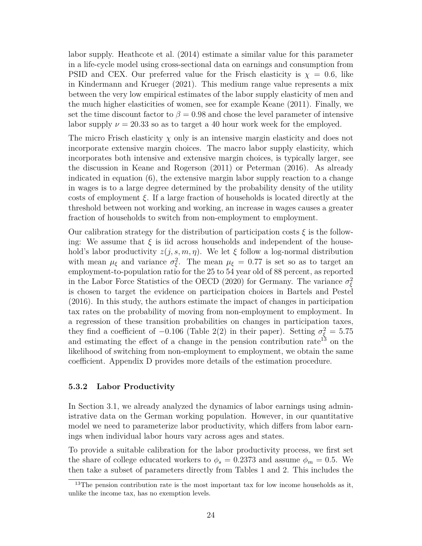labor supply. Heathcote et al. (2014) estimate a similar value for this parameter in a life-cycle model using cross-sectional data on earnings and consumption from PSID and CEX. Our preferred value for the Frisch elasticity is  $\chi = 0.6$ , like in Kindermann and Krueger (2021). This medium range value represents a mix between the very low empirical estimates of the labor supply elasticity of men and the much higher elasticities of women, see for example Keane (2011). Finally, we set the time discount factor to  $\beta = 0.98$  and chose the level parameter of intensive labor supply  $\nu = 20.33$  so as to target a 40 hour work week for the employed.

The micro Frisch elasticity  $\chi$  only is an intensive margin elasticity and does not incorporate extensive margin choices. The macro labor supply elasticity, which incorporates both intensive and extensive margin choices, is typically larger, see the discussion in Keane and Rogerson (2011) or Peterman (2016). As already indicated in equation (6), the extensive margin labor supply reaction to a change in wages is to a large degree determined by the probability density of the utility costs of employment *ξ*. If a large fraction of households is located directly at the threshold between not working and working, an increase in wages causes a greater fraction of households to switch from non-employment to employment.

Our calibration strategy for the distribution of participation costs  $\xi$  is the following: We assume that  $\xi$  is iid across households and independent of the household's labor productivity  $z(j, s, m, \eta)$ . We let  $\xi$  follow a log-normal distribution with mean  $\mu_{\xi}$  and variance  $\sigma_{\xi}^2$ . The mean  $\mu_{\xi} = 0.77$  is set so as to target an employment-to-population ratio for the 25 to 54 year old of 88 percent, as reported in the Labor Force Statistics of the OECD (2020) for Germany. The variance  $\sigma_{\xi}^2$ is chosen to target the evidence on participation choices in Bartels and Pestel (2016). In this study, the authors estimate the impact of changes in participation tax rates on the probability of moving from non-employment to employment. In a regression of these transition probabilities on changes in participation taxes, they find a coefficient of  $-0.106$  (Table 2(2) in their paper). Setting  $\sigma_{\xi}^2 = 5.75$ and estimating the effect of a change in the pension contribution rate<sup>13</sup> on the likelihood of switching from non-employment to employment, we obtain the same coefficient. Appendix D provides more details of the estimation procedure.

#### **5.3.2 Labor Productivity**

In Section 3.1, we already analyzed the dynamics of labor earnings using administrative data on the German working population. However, in our quantitative model we need to parameterize labor productivity, which differs from labor earnings when individual labor hours vary across ages and states.

To provide a suitable calibration for the labor productivity process, we first set the share of college educated workers to  $\phi_s = 0.2373$  and assume  $\phi_m = 0.5$ . We then take a subset of parameters directly from Tables 1 and 2. This includes the

 $13$ The pension contribution rate is the most important tax for low income households as it, unlike the income tax, has no exemption levels.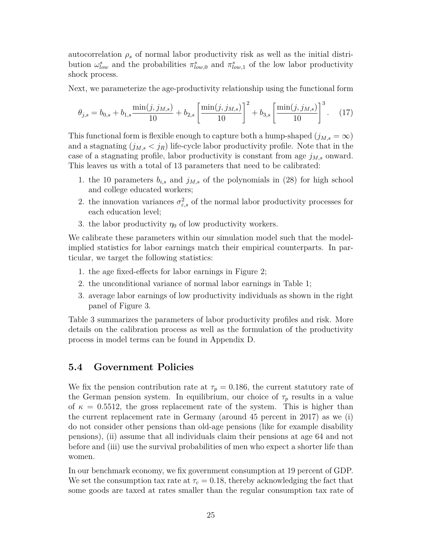autocorrelation  $\rho_s$  of normal labor productivity risk as well as the initial distribution  $\omega_{low}^s$  and the probabilities  $\pi_{low,0}^s$  and  $\pi_{low,1}^s$  of the low labor productivity shock process.

Next, we parameterize the age-productivity relationship using the functional form

$$
\theta_{j,s} = b_{0,s} + b_{1,s} \frac{\min(j, j_{M,s})}{10} + b_{2,s} \left[ \frac{\min(j, j_{M,s})}{10} \right]^2 + b_{3,s} \left[ \frac{\min(j, j_{M,s})}{10} \right]^3. \tag{17}
$$

This functional form is flexible enough to capture both a hump-shaped  $(j_{M,s} = \infty)$ and a stagnating  $(j_{M,s} < j_R)$  life-cycle labor productivity profile. Note that in the case of a stagnating profile, labor productivity is constant from age  $j_{M,s}$  onward. This leaves us with a total of 13 parameters that need to be calibrated:

- 1. the 10 parameters  $b_{i,s}$  and  $j_{M,s}$  of the polynomials in (28) for high school and college educated workers;
- 2. the innovation variances  $\sigma_{\varepsilon,s}^2$  of the normal labor productivity processes for each education level;
- 3. the labor productivity  $\eta_0$  of low productivity workers.

We calibrate these parameters within our simulation model such that the modelimplied statistics for labor earnings match their empirical counterparts. In particular, we target the following statistics:

- 1. the age fixed-effects for labor earnings in Figure 2;
- 2. the unconditional variance of normal labor earnings in Table 1;
- 3. average labor earnings of low productivity individuals as shown in the right panel of Figure 3.

Table 3 summarizes the parameters of labor productivity profiles and risk. More details on the calibration process as well as the formulation of the productivity process in model terms can be found in Appendix D.

### **5.4 Government Policies**

We fix the pension contribution rate at  $\tau_p = 0.186$ , the current statutory rate of the German pension system. In equilibrium, our choice of  $\tau_p$  results in a value of  $\kappa = 0.5512$ , the gross replacement rate of the system. This is higher than the current replacement rate in Germany (around 45 percent in 2017) as we (i) do not consider other pensions than old-age pensions (like for example disability pensions), (ii) assume that all individuals claim their pensions at age 64 and not before and (iii) use the survival probabilities of men who expect a shorter life than women.

In our benchmark economy, we fix government consumption at 19 percent of GDP. We set the consumption tax rate at  $\tau_c = 0.18$ , thereby acknowledging the fact that some goods are taxed at rates smaller than the regular consumption tax rate of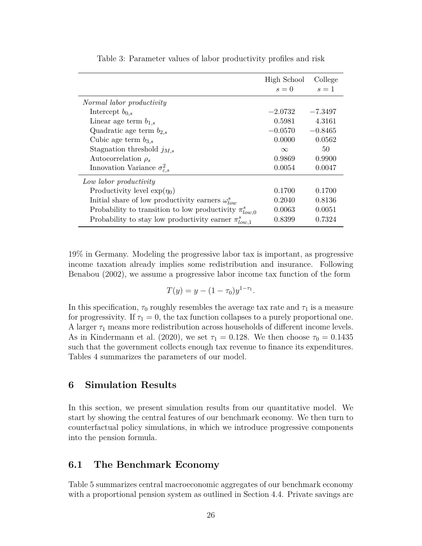|                                                               | High School | College   |
|---------------------------------------------------------------|-------------|-----------|
|                                                               | $s=0$       | $s=1$     |
| Normal labor productivity                                     |             |           |
| Intercept $b_{0,s}$                                           | $-2.0732$   | $-7.3497$ |
| Linear age term $b_{1,s}$                                     | 0.5981      | 4.3161    |
| Quadratic age term $b_{2,s}$                                  | $-0.0570$   | $-0.8465$ |
| Cubic age term $b_{3,s}$                                      | 0.0000      | 0.0562    |
| Stagnation threshold $j_{M,s}$                                | $\infty$    | 50        |
| Autocorrelation $\rho_s$                                      | 0.9869      | 0.9900    |
| Innovation Variance $\sigma_{\varepsilon,s}^2$                | 0.0054      | 0.0047    |
| Low labor productivity                                        |             |           |
| Productivity level $\exp(\eta_0)$                             | 0.1700      | 0.1700    |
| Initial share of low productivity earners $\omega_{low}^s$    | 0.2040      | 0.8136    |
| Probability to transition to low productivity $\pi_{low,0}^s$ | 0.0063      | 0.0051    |
| Probability to stay low productivity earner $\pi_{low,1}^s$   | 0.8399      | 0.7324    |

Table 3: Parameter values of labor productivity profiles and risk

19% in Germany. Modeling the progressive labor tax is important, as progressive income taxation already implies some redistribution and insurance. Following Benabou (2002), we assume a progressive labor income tax function of the form

$$
T(y) = y - (1 - \tau_0) y^{1 - \tau_1}.
$$

In this specification,  $\tau_0$  roughly resembles the average tax rate and  $\tau_1$  is a measure for progressivity. If  $\tau_1 = 0$ , the tax function collapses to a purely proportional one. A larger *τ*<sup>1</sup> means more redistribution across households of different income levels. As in Kindermann et al. (2020), we set  $\tau_1 = 0.128$ . We then choose  $\tau_0 = 0.1435$ such that the government collects enough tax revenue to finance its expenditures. Tables 4 summarizes the parameters of our model.

### **6 Simulation Results**

In this section, we present simulation results from our quantitative model. We start by showing the central features of our benchmark economy. We then turn to counterfactual policy simulations, in which we introduce progressive components into the pension formula.

### **6.1 The Benchmark Economy**

Table 5 summarizes central macroeconomic aggregates of our benchmark economy with a proportional pension system as outlined in Section 4.4. Private savings are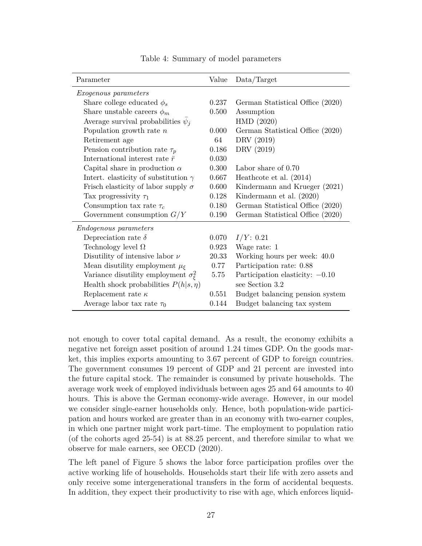| Parameter                                       | Value | Data/Target                       |
|-------------------------------------------------|-------|-----------------------------------|
| <i>Exogenous parameters</i>                     |       |                                   |
| Share college educated $\phi_s$                 | 0.237 | German Statistical Office (2020)  |
| Share unstable careers $\phi_m$                 | 0.500 | Assumption                        |
| Average survival probabilities $\psi_i$         |       | HMD(2020)                         |
| Population growth rate $n$                      | 0.000 | German Statistical Office (2020)  |
| Retirement age                                  | 64    | DRV (2019)                        |
| Pension contribution rate $\tau_p$              | 0.186 | DRV (2019)                        |
| International interest rate $\bar{r}$           | 0.030 |                                   |
| Capital share in production $\alpha$            | 0.300 | Labor share of 0.70               |
| Intert. elasticity of substitution $\gamma$     | 0.667 | Heathcote et al. $(2014)$         |
| Frisch elasticity of labor supply $\sigma$      | 0.600 | Kindermann and Krueger (2021)     |
| Tax progressivity $\tau_1$                      | 0.128 | Kindermann et al. (2020)          |
| Consumption tax rate $\tau_c$                   | 0.180 | German Statistical Office (2020)  |
| Government consumption $G/Y$                    | 0.190 | German Statistical Office (2020)  |
| <i>Endogenous parameters</i>                    |       |                                   |
| Depreciation rate $\delta$                      | 0.070 | $I/Y$ : 0.21                      |
| Technology level $\Omega$                       | 0.923 | Wage rate: 1                      |
| Disutility of intensive labor $\nu$             | 20.33 | Working hours per week: 40.0      |
| Mean disutility employment $\mu_{\xi}$          | 0.77  | Participation rate: 0.88          |
| Variance disutility employment $\sigma_{\xi}^2$ | 5.75  | Participation elasticity: $-0.10$ |
| Health shock probabilities $P(h s, \eta)$       |       | see Section 3.2                   |
| Replacement rate $\kappa$                       | 0.551 | Budget balancing pension system   |
| Average labor tax rate $\tau_0$                 | 0.144 | Budget balancing tax system       |

Table 4: Summary of model parameters

not enough to cover total capital demand. As a result, the economy exhibits a negative net foreign asset position of around 1.24 times GDP. On the goods market, this implies exports amounting to 3.67 percent of GDP to foreign countries. The government consumes 19 percent of GDP and 21 percent are invested into the future capital stock. The remainder is consumed by private households. The average work week of employed individuals between ages 25 and 64 amounts to 40 hours. This is above the German economy-wide average. However, in our model we consider single-earner households only. Hence, both population-wide participation and hours worked are greater than in an economy with two-earner couples, in which one partner might work part-time. The employment to population ratio (of the cohorts aged 25-54) is at 88.25 percent, and therefore similar to what we observe for male earners, see OECD (2020).

The left panel of Figure 5 shows the labor force participation profiles over the active working life of households. Households start their life with zero assets and only receive some intergenerational transfers in the form of accidental bequests. In addition, they expect their productivity to rise with age, which enforces liquid-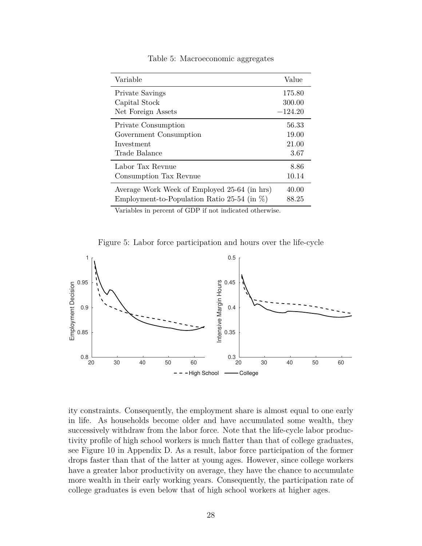| Variable                                        | Value     |
|-------------------------------------------------|-----------|
| Private Savings                                 | 175.80    |
| Capital Stock                                   | 300.00    |
| Net Foreign Assets                              | $-124.20$ |
| Private Consumption                             | 56.33     |
| Government Consumption                          | 19.00     |
| Investment                                      | 21.00     |
| Trade Balance                                   | 3.67      |
| Labor Tax Revnue                                | 8.86      |
| Consumption Tax Revnue                          | 10.14     |
| Average Work Week of Employed 25-64 (in hrs)    | 40.00     |
| Employment-to-Population Ratio 25-54 (in $\%$ ) | 88.25     |

Table 5: Macroeconomic aggregates

Variables in percent of GDP if not indicated otherwise.

Figure 5: Labor force participation and hours over the life-cycle



ity constraints. Consequently, the employment share is almost equal to one early in life. As households become older and have accumulated some wealth, they successively withdraw from the labor force. Note that the life-cycle labor productivity profile of high school workers is much flatter than that of college graduates, see Figure 10 in Appendix D. As a result, labor force participation of the former drops faster than that of the latter at young ages. However, since college workers have a greater labor productivity on average, they have the chance to accumulate more wealth in their early working years. Consequently, the participation rate of college graduates is even below that of high school workers at higher ages.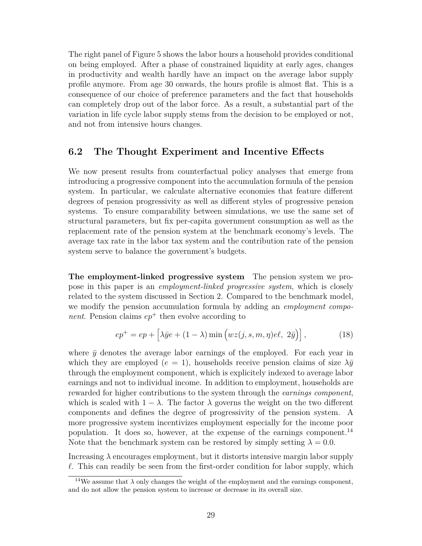The right panel of Figure 5 shows the labor hours a household provides conditional on being employed. After a phase of constrained liquidity at early ages, changes in productivity and wealth hardly have an impact on the average labor supply profile anymore. From age 30 onwards, the hours profile is almost flat. This is a consequence of our choice of preference parameters and the fact that households can completely drop out of the labor force. As a result, a substantial part of the variation in life cycle labor supply stems from the decision to be employed or not, and not from intensive hours changes.

### **6.2 The Thought Experiment and Incentive Effects**

We now present results from counterfactual policy analyses that emerge from introducing a progressive component into the accumulation formula of the pension system. In particular, we calculate alternative economies that feature different degrees of pension progressivity as well as different styles of progressive pension systems. To ensure comparability between simulations, we use the same set of structural parameters, but fix per-capita government consumption as well as the replacement rate of the pension system at the benchmark economy's levels. The average tax rate in the labor tax system and the contribution rate of the pension system serve to balance the government's budgets.

**The employment-linked progressive system** The pension system we propose in this paper is an *employment-linked progressive system*, which is closely related to the system discussed in Section 2. Compared to the benchmark model, we modify the pension accumulation formula by adding an *employment component*. Pension claims  $ep^+$  then evolve according to

$$
ep^{+} = ep + \left[\lambda \bar{y}e + (1 - \lambda)\min\left(wz(j, s, m, \eta)e\ell, 2\bar{y}\right)\right],
$$
 (18)

where  $\bar{y}$  denotes the average labor earnings of the employed. For each year in which they are employed ( $e = 1$ ), households receive pension claims of size  $\lambda \bar{y}$ through the employment component, which is explicitely indexed to average labor earnings and not to individual income. In addition to employment, households are rewarded for higher contributions to the system through the *earnings component*, which is scaled with  $1 - \lambda$ . The factor  $\lambda$  governs the weight on the two different components and defines the degree of progressivity of the pension system. A more progressive system incentivizes employment especially for the income poor population. It does so, however, at the expense of the earnings component.<sup>14</sup> Note that the benchmark system can be restored by simply setting  $\lambda = 0.0$ .

Increasing *λ* encourages employment, but it distorts intensive margin labor supply  $\ell$ . This can readily be seen from the first-order condition for labor supply, which

<sup>&</sup>lt;sup>14</sup>We assume that  $\lambda$  only changes the weight of the employment and the earnings component, and do not allow the pension system to increase or decrease in its overall size.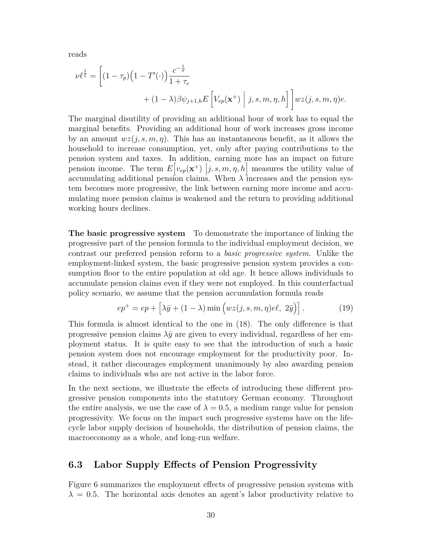reads

$$
\nu \ell^{\frac{1}{\xi}} = \left[ (1 - \tau_p) \left( 1 - T'(\cdot) \right) \frac{c^{-\frac{1}{\sigma}}}{1 + \tau_c} + (1 - \lambda) \beta \psi_{j+1,h} E\left[ V_{ep}(\mathbf{x}^+) \middle| j, s, m, \eta, h \right] \right] wz(j, s, m, \eta) e.
$$

The marginal disutility of providing an additional hour of work has to equal the marginal benefits. Providing an additional hour of work increases gross income by an amount  $wz(j, s, m, \eta)$ . This has an instantaneous benefit, as it allows the household to increase consumption, yet, only after paying contributions to the pension system and taxes. In addition, earning more has an impact on future pension income. The term  $E[v_{ep}(\mathbf{x}^+)|j, s, m, \eta, h]$  measures the utility value of accumulating additional pension claims. When  $\lambda$  increases and the pension system becomes more progressive, the link between earning more income and accumulating more pension claims is weakened and the return to providing additional working hours declines.

**The basic progressive system** To demonstrate the importance of linking the progressive part of the pension formula to the individual employment decision, we contrast our preferred pension reform to a *basic progressive system*. Unlike the employment-linked system, the basic progressive pension system provides a consumption floor to the entire population at old age. It hence allows individuals to accumulate pension claims even if they were not employed. In this counterfactual policy scenario, we assume that the pension accumulation formula reads

$$
ep^{+} = ep + \left[\lambda \bar{y} + (1 - \lambda) \min\left(wz(j, s, m, \eta)e\ell, 2\bar{y}\right)\right].
$$
 (19)

This formula is almost identical to the one in (18). The only difference is that progressive pension claims  $\lambda \bar{y}$  are given to every individual, regardless of her employment status. It is quite easy to see that the introduction of such a basic pension system does not encourage employment for the productivity poor. Instead, it rather discourages employment unanimously by also awarding pension claims to individuals who are not active in the labor force.

In the next sections, we illustrate the effects of introducing these different progressive pension components into the statutory German economy. Throughout the entire analysis, we use the case of  $\lambda = 0.5$ , a medium range value for pension progressivity. We focus on the impact such progressive systems have on the lifecycle labor supply decision of households, the distribution of pension claims, the macroeconomy as a whole, and long-run welfare.

### **6.3 Labor Supply Effects of Pension Progressivity**

Figure 6 summarizes the employment effects of progressive pension systems with  $\lambda = 0.5$ . The horizontal axis denotes an agent's labor productivity relative to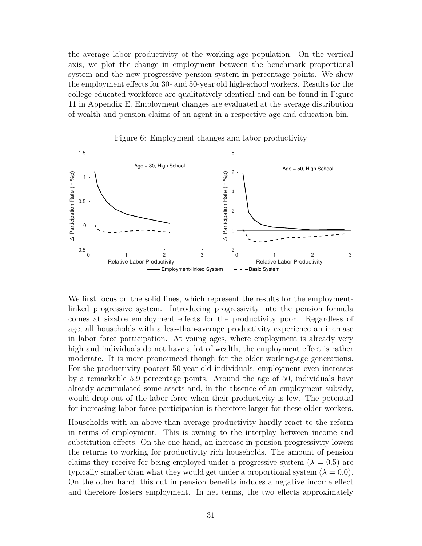the average labor productivity of the working-age population. On the vertical axis, we plot the change in employment between the benchmark proportional system and the new progressive pension system in percentage points. We show the employment effects for 30- and 50-year old high-school workers. Results for the college-educated workforce are qualitatively identical and can be found in Figure 11 in Appendix E. Employment changes are evaluated at the average distribution of wealth and pension claims of an agent in a respective age and education bin.





We first focus on the solid lines, which represent the results for the employmentlinked progressive system. Introducing progressivity into the pension formula comes at sizable employment effects for the productivity poor. Regardless of age, all households with a less-than-average productivity experience an increase in labor force participation. At young ages, where employment is already very high and individuals do not have a lot of wealth, the employment effect is rather moderate. It is more pronounced though for the older working-age generations. For the productivity poorest 50-year-old individuals, employment even increases by a remarkable 5.9 percentage points. Around the age of 50, individuals have already accumulated some assets and, in the absence of an employment subsidy, would drop out of the labor force when their productivity is low. The potential for increasing labor force participation is therefore larger for these older workers.

Households with an above-than-average productivity hardly react to the reform in terms of employment. This is owning to the interplay between income and substitution effects. On the one hand, an increase in pension progressivity lowers the returns to working for productivity rich households. The amount of pension claims they receive for being employed under a progressive system  $(\lambda = 0.5)$  are typically smaller than what they would get under a proportional system  $(\lambda = 0.0)$ . On the other hand, this cut in pension benefits induces a negative income effect and therefore fosters employment. In net terms, the two effects approximately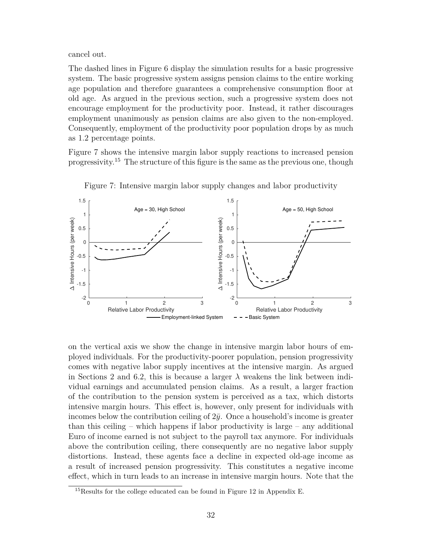cancel out.

The dashed lines in Figure 6 display the simulation results for a basic progressive system. The basic progressive system assigns pension claims to the entire working age population and therefore guarantees a comprehensive consumption floor at old age. As argued in the previous section, such a progressive system does not encourage employment for the productivity poor. Instead, it rather discourages employment unanimously as pension claims are also given to the non-employed. Consequently, employment of the productivity poor population drops by as much as 1.2 percentage points.

Figure 7 shows the intensive margin labor supply reactions to increased pension progressivity.<sup>15</sup> The structure of this figure is the same as the previous one, though



Figure 7: Intensive margin labor supply changes and labor productivity

on the vertical axis we show the change in intensive margin labor hours of employed individuals. For the productivity-poorer population, pension progressivity comes with negative labor supply incentives at the intensive margin. As argued in Sections 2 and 6.2, this is because a larger  $\lambda$  weakens the link between individual earnings and accumulated pension claims. As a result, a larger fraction of the contribution to the pension system is perceived as a tax, which distorts intensive margin hours. This effect is, however, only present for individuals with incomes below the contribution ceiling of  $2\bar{y}$ . Once a household's income is greater than this ceiling – which happens if labor productivity is large – any additional Euro of income earned is not subject to the payroll tax anymore. For individuals above the contribution ceiling, there consequently are no negative labor supply distortions. Instead, these agents face a decline in expected old-age income as a result of increased pension progressivity. This constitutes a negative income effect, which in turn leads to an increase in intensive margin hours. Note that the

<sup>15</sup>Results for the college educated can be found in Figure 12 in Appendix E.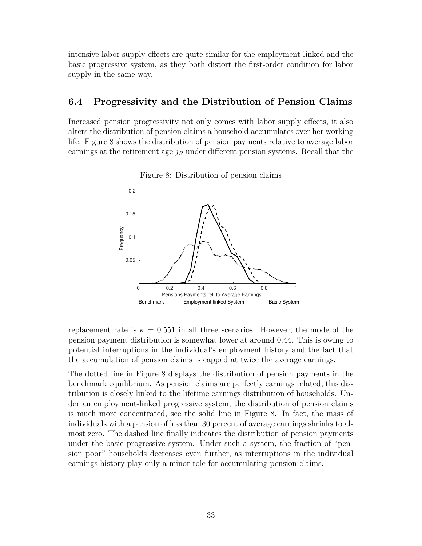intensive labor supply effects are quite similar for the employment-linked and the basic progressive system, as they both distort the first-order condition for labor supply in the same way.

### **6.4 Progressivity and the Distribution of Pension Claims**

Increased pension progressivity not only comes with labor supply effects, it also alters the distribution of pension claims a household accumulates over her working life. Figure 8 shows the distribution of pension payments relative to average labor earnings at the retirement age  $j_R$  under different pension systems. Recall that the



Figure 8: Distribution of pension claims

replacement rate is  $\kappa = 0.551$  in all three scenarios. However, the mode of the pension payment distribution is somewhat lower at around 0.44. This is owing to potential interruptions in the individual's employment history and the fact that the accumulation of pension claims is capped at twice the average earnings.

The dotted line in Figure 8 displays the distribution of pension payments in the benchmark equilibrium. As pension claims are perfectly earnings related, this distribution is closely linked to the lifetime earnings distribution of households. Under an employment-linked progressive system, the distribution of pension claims is much more concentrated, see the solid line in Figure 8. In fact, the mass of individuals with a pension of less than 30 percent of average earnings shrinks to almost zero. The dashed line finally indicates the distribution of pension payments under the basic progressive system. Under such a system, the fraction of "pension poor" households decreases even further, as interruptions in the individual earnings history play only a minor role for accumulating pension claims.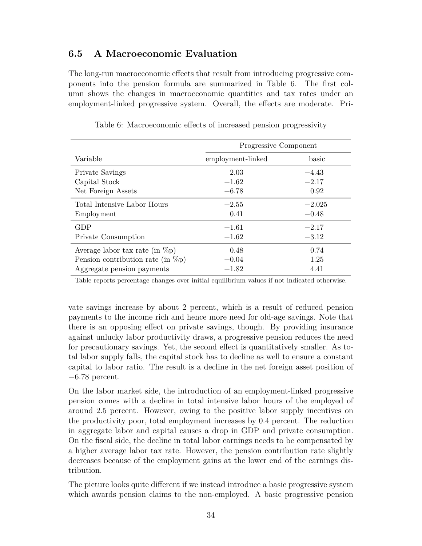## **6.5 A Macroeconomic Evaluation**

The long-run macroeconomic effects that result from introducing progressive components into the pension formula are summarized in Table 6. The first column shows the changes in macroeconomic quantities and tax rates under an employment-linked progressive system. Overall, the effects are moderate. Pri-

|                                       | Progressive Component |          |
|---------------------------------------|-----------------------|----------|
| Variable                              | employment-linked     | basic    |
| Private Savings                       | 2.03                  | $-4.43$  |
| Capital Stock                         | $-1.62$               | $-2.17$  |
| Net Foreign Assets                    | $-6.78$               | 0.92     |
| Total Intensive Labor Hours           | $-2.55$               | $-2.025$ |
| Employment                            | 0.41                  | $-0.48$  |
| <b>GDP</b>                            | $-1.61$               | $-2.17$  |
| Private Consumption                   | $-1.62$               | $-3.12$  |
| Average labor tax rate (in $\%p$ )    | 0.48                  | 0.74     |
| Pension contribution rate (in $\%p$ ) | $-0.04$               | 1.25     |
| Aggregate pension payments            | $-1.82$               | 4.41     |

Table 6: Macroeconomic effects of increased pension progressivity

Table reports percentage changes over initial equilibrium values if not indicated otherwise.

vate savings increase by about 2 percent, which is a result of reduced pension payments to the income rich and hence more need for old-age savings. Note that there is an opposing effect on private savings, though. By providing insurance against unlucky labor productivity draws, a progressive pension reduces the need for precautionary savings. Yet, the second effect is quantitatively smaller. As total labor supply falls, the capital stock has to decline as well to ensure a constant capital to labor ratio. The result is a decline in the net foreign asset position of −6*.*78 percent.

On the labor market side, the introduction of an employment-linked progressive pension comes with a decline in total intensive labor hours of the employed of around 2.5 percent. However, owing to the positive labor supply incentives on the productivity poor, total employment increases by 0.4 percent. The reduction in aggregate labor and capital causes a drop in GDP and private consumption. On the fiscal side, the decline in total labor earnings needs to be compensated by a higher average labor tax rate. However, the pension contribution rate slightly decreases because of the employment gains at the lower end of the earnings distribution.

The picture looks quite different if we instead introduce a basic progressive system which awards pension claims to the non-employed. A basic progressive pension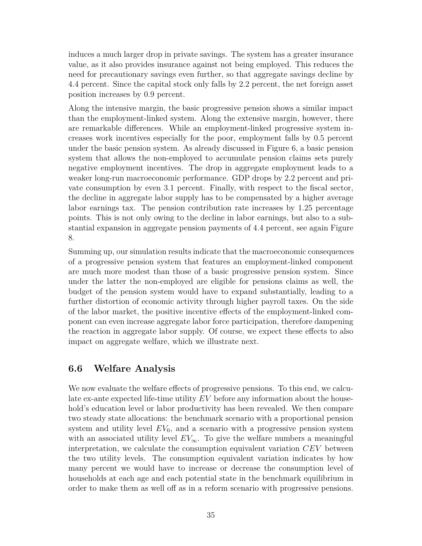induces a much larger drop in private savings. The system has a greater insurance value, as it also provides insurance against not being employed. This reduces the need for precautionary savings even further, so that aggregate savings decline by 4.4 percent. Since the capital stock only falls by 2.2 percent, the net foreign asset position increases by 0.9 percent.

Along the intensive margin, the basic progressive pension shows a similar impact than the employment-linked system. Along the extensive margin, however, there are remarkable differences. While an employment-linked progressive system increases work incentives especially for the poor, employment falls by 0.5 percent under the basic pension system. As already discussed in Figure 6, a basic pension system that allows the non-employed to accumulate pension claims sets purely negative employment incentives. The drop in aggregate employment leads to a weaker long-run macroeconomic performance. GDP drops by 2.2 percent and private consumption by even 3.1 percent. Finally, with respect to the fiscal sector, the decline in aggregate labor supply has to be compensated by a higher average labor earnings tax. The pension contribution rate increases by 1.25 percentage points. This is not only owing to the decline in labor earnings, but also to a substantial expansion in aggregate pension payments of 4.4 percent, see again Figure 8.

Summing up, our simulation results indicate that the macroeconomic consequences of a progressive pension system that features an employment-linked component are much more modest than those of a basic progressive pension system. Since under the latter the non-employed are eligible for pensions claims as well, the budget of the pension system would have to expand substantially, leading to a further distortion of economic activity through higher payroll taxes. On the side of the labor market, the positive incentive effects of the employment-linked component can even increase aggregate labor force participation, therefore dampening the reaction in aggregate labor supply. Of course, we expect these effects to also impact on aggregate welfare, which we illustrate next.

## **6.6 Welfare Analysis**

We now evaluate the welfare effects of progressive pensions. To this end, we calculate ex-ante expected life-time utility *EV* before any information about the household's education level or labor productivity has been revealed. We then compare two steady state allocations: the benchmark scenario with a proportional pension system and utility level  $EV_0$ , and a scenario with a progressive pension system with an associated utility level  $EV_{\infty}$ . To give the welfare numbers a meaningful interpretation, we calculate the consumption equivalent variation *CEV* between the two utility levels. The consumption equivalent variation indicates by how many percent we would have to increase or decrease the consumption level of households at each age and each potential state in the benchmark equilibrium in order to make them as well off as in a reform scenario with progressive pensions.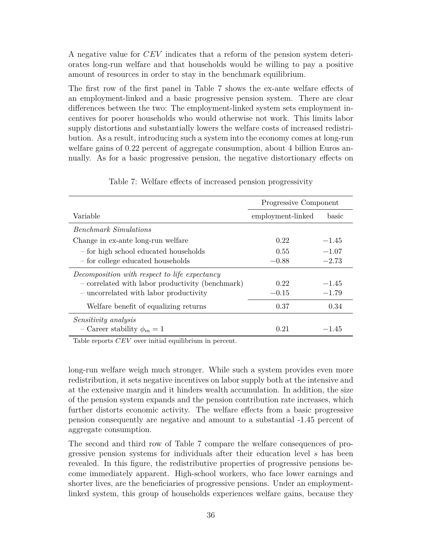A negative value for *CEV* indicates that a reform of the pension system deteriorates long-run welfare and that households would be willing to pay a positive amount of resources in order to stay in the benchmark equilibrium.

The first row of the first panel in Table 7 shows the ex-ante welfare effects of an employment-linked and a basic progressive pension system. There are clear differences between the two: The employment-linked system sets employment incentives for poorer households who would otherwise not work. This limits labor supply distortions and substantially lowers the welfare costs of increased redistribution. As a result, introducing such a system into the economy comes at long-run welfare gains of 0.22 percent of aggregate consumption, about 4 billion Euros annually. As for a basic progressive pension, the negative distortionary effects on

|                                                  | Progressive Component |         |
|--------------------------------------------------|-----------------------|---------|
| Variable                                         | employment-linked     | basic   |
| <b>Benchmark Simulations</b>                     |                       |         |
| Change in ex-ante long-run welfare               | 0.22                  | $-1.45$ |
| - for high school educated households            | 0.55                  | $-1.07$ |
| - for college educated households                | $-0.88$               | $-2.73$ |
| Decomposition with respect to life expectancy    |                       |         |
| - correlated with labor productivity (benchmark) | 0.22                  | $-1.45$ |
| - uncorrelated with labor productivity           | $-0.15$               | $-1.79$ |
| Welfare benefit of equalizing returns            | 0.37                  | 0.34    |
| <i>Sensitivity analysis</i>                      |                       |         |
| - Career stability $\phi_m = 1$                  | 0.21                  | $-1.45$ |

Table 7: Welfare effects of increased pension progressivity

Table reports *CEV* over initial equilibrium in percent.

long-run welfare weigh much stronger. While such a system provides even more redistribution, it sets negative incentives on labor supply both at the intensive and at the extensive margin and it hinders wealth accumulation. In addition, the size of the pension system expands and the pension contribution rate increases, which further distorts economic activity. The welfare effects from a basic progressive pension consequently are negative and amount to a substantial -1.45 percent of aggregate consumption.

The second and third row of Table 7 compare the welfare consequences of progressive pension systems for individuals after their education level *s* has been revealed. In this figure, the redistributive properties of progressive pensions become immediately apparent. High-school workers, who face lower earnings and shorter lives, are the beneficiaries of progressive pensions. Under an employmentlinked system, this group of households experiences welfare gains, because they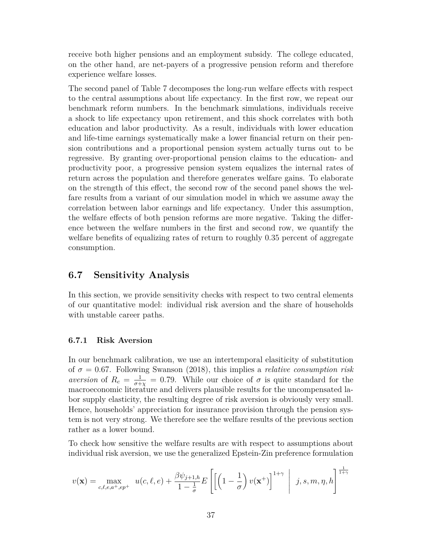receive both higher pensions and an employment subsidy. The college educated, on the other hand, are net-payers of a progressive pension reform and therefore experience welfare losses.

The second panel of Table 7 decomposes the long-run welfare effects with respect to the central assumptions about life expectancy. In the first row, we repeat our benchmark reform numbers. In the benchmark simulations, individuals receive a shock to life expectancy upon retirement, and this shock correlates with both education and labor productivity. As a result, individuals with lower education and life-time earnings systematically make a lower financial return on their pension contributions and a proportional pension system actually turns out to be regressive. By granting over-proportional pension claims to the education- and productivity poor, a progressive pension system equalizes the internal rates of return across the population and therefore generates welfare gains. To elaborate on the strength of this effect, the second row of the second panel shows the welfare results from a variant of our simulation model in which we assume away the correlation between labor earnings and life expectancy. Under this assumption, the welfare effects of both pension reforms are more negative. Taking the difference between the welfare numbers in the first and second row, we quantify the welfare benefits of equalizing rates of return to roughly 0.35 percent of aggregate consumption.

### **6.7 Sensitivity Analysis**

In this section, we provide sensitivity checks with respect to two central elements of our quantitative model: individual risk aversion and the share of households with unstable career paths.

#### **6.7.1 Risk Aversion**

In our benchmark calibration, we use an intertemporal elasiticity of substitution of *σ* = 0*.*67. Following Swanson (2018), this implies a *relative consumption risk aversion* of  $R_c = \frac{1}{\sigma^2}$  $\frac{1}{\sigma + \chi} = 0.79$ . While our choice of  $\sigma$  is quite standard for the macroeconomic literature and delivers plausible results for the uncompensated labor supply elasticity, the resulting degree of risk aversion is obviously very small. Hence, households' appreciation for insurance provision through the pension system is not very strong. We therefore see the welfare results of the previous section rather as a lower bound.

To check how sensitive the welfare results are with respect to assumptions about individual risk aversion, we use the generalized Epstein-Zin preference formulation

$$
v(\mathbf{x}) = \max_{c,\ell,e,a^+,ep^+} u(c,\ell,e) + \frac{\beta \psi_{j+1,h}}{1-\frac{1}{\sigma}} E\left[\left(\left(1-\frac{1}{\sigma}\right)v(\mathbf{x}^+)\right]^{1+\gamma} \middle| j,s,m,\eta,h\right]^{\frac{1}{1+\gamma}}
$$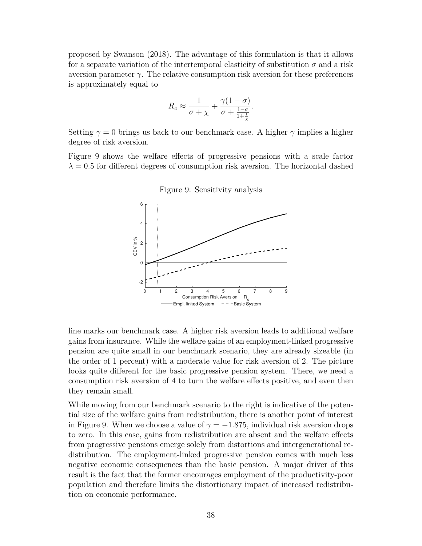proposed by Swanson (2018). The advantage of this formulation is that it allows for a separate variation of the intertemporal elasticity of substitution  $\sigma$  and a risk aversion parameter *γ*. The relative consumption risk aversion for these preferences is approximately equal to

$$
R_c \approx \frac{1}{\sigma + \chi} + \frac{\gamma (1 - \sigma)}{\sigma + \frac{1 - \sigma}{1 + \frac{1}{\chi}}}
$$

Setting  $\gamma = 0$  brings us back to our benchmark case. A higher  $\gamma$  implies a higher degree of risk aversion.

Figure 9 shows the welfare effects of progressive pensions with a scale factor  $\lambda = 0.5$  for different degrees of consumption risk aversion. The horizontal dashed



Figure 9: Sensitivity analysis

line marks our benchmark case. A higher risk aversion leads to additional welfare gains from insurance. While the welfare gains of an employment-linked progressive pension are quite small in our benchmark scenario, they are already sizeable (in the order of 1 percent) with a moderate value for risk aversion of 2. The picture looks quite different for the basic progressive pension system. There, we need a consumption risk aversion of 4 to turn the welfare effects positive, and even then they remain small.

While moving from our benchmark scenario to the right is indicative of the potential size of the welfare gains from redistribution, there is another point of interest in Figure 9. When we choose a value of  $\gamma = -1.875$ , individual risk aversion drops to zero. In this case, gains from redistribution are absent and the welfare effects from progressive pensions emerge solely from distortions and intergenerational redistribution. The employment-linked progressive pension comes with much less negative economic consequences than the basic pension. A major driver of this result is the fact that the former encourages employment of the productivity-poor population and therefore limits the distortionary impact of increased redistribution on economic performance.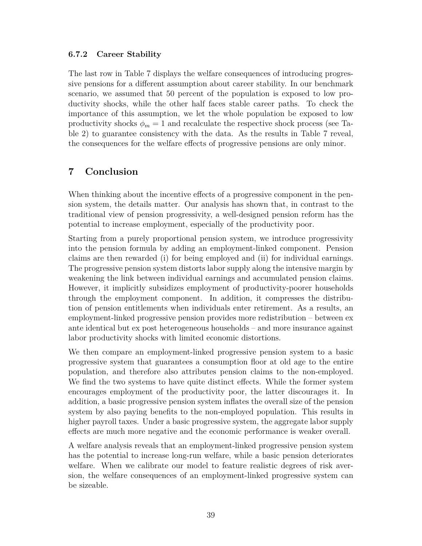### **6.7.2 Career Stability**

The last row in Table 7 displays the welfare consequences of introducing progressive pensions for a different assumption about career stability. In our benchmark scenario, we assumed that 50 percent of the population is exposed to low productivity shocks, while the other half faces stable career paths. To check the importance of this assumption, we let the whole population be exposed to low productivity shocks  $\phi_m = 1$  and recalculate the respective shock process (see Table 2) to guarantee consistency with the data. As the results in Table 7 reveal, the consequences for the welfare effects of progressive pensions are only minor.

## **7 Conclusion**

When thinking about the incentive effects of a progressive component in the pension system, the details matter. Our analysis has shown that, in contrast to the traditional view of pension progressivity, a well-designed pension reform has the potential to increase employment, especially of the productivity poor.

Starting from a purely proportional pension system, we introduce progressivity into the pension formula by adding an employment-linked component. Pension claims are then rewarded (i) for being employed and (ii) for individual earnings. The progressive pension system distorts labor supply along the intensive margin by weakening the link between individual earnings and accumulated pension claims. However, it implicitly subsidizes employment of productivity-poorer households through the employment component. In addition, it compresses the distribution of pension entitlements when individuals enter retirement. As a results, an employment-linked progressive pension provides more redistribution – between ex ante identical but ex post heterogeneous households – and more insurance against labor productivity shocks with limited economic distortions.

We then compare an employment-linked progressive pension system to a basic progressive system that guarantees a consumption floor at old age to the entire population, and therefore also attributes pension claims to the non-employed. We find the two systems to have quite distinct effects. While the former system encourages employment of the productivity poor, the latter discourages it. In addition, a basic progressive pension system inflates the overall size of the pension system by also paying benefits to the non-employed population. This results in higher payroll taxes. Under a basic progressive system, the aggregate labor supply effects are much more negative and the economic performance is weaker overall.

A welfare analysis reveals that an employment-linked progressive pension system has the potential to increase long-run welfare, while a basic pension deteriorates welfare. When we calibrate our model to feature realistic degrees of risk aversion, the welfare consequences of an employment-linked progressive system can be sizeable.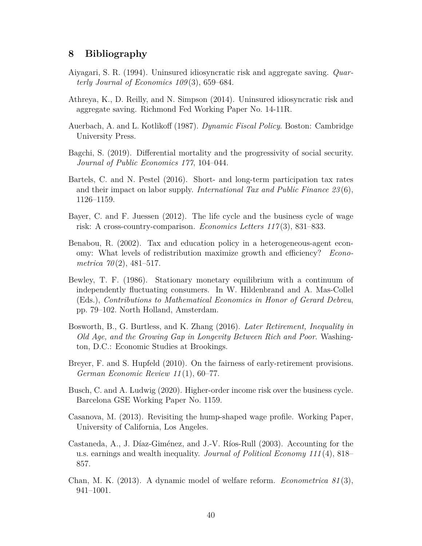### **8 Bibliography**

- Aiyagari, S. R. (1994). Uninsured idiosyncratic risk and aggregate saving. *Quarterly Journal of Economics 109* (3), 659–684.
- Athreya, K., D. Reilly, and N. Simpson (2014). Uninsured idiosyncratic risk and aggregate saving. Richmond Fed Working Paper No. 14-11R.
- Auerbach, A. and L. Kotlikoff (1987). *Dynamic Fiscal Policy*. Boston: Cambridge University Press.
- Bagchi, S. (2019). Differential mortality and the progressivity of social security. *Journal of Public Economics 177*, 104–044.
- Bartels, C. and N. Pestel (2016). Short- and long-term participation tax rates and their impact on labor supply. *International Tax and Public Finance 23* (6), 1126–1159.
- Bayer, C. and F. Juessen (2012). The life cycle and the business cycle of wage risk: A cross-country-comparison. *Economics Letters 117* (3), 831–833.
- Benabou, R. (2002). Tax and education policy in a heterogeneous-agent economy: What levels of redistribution maximize growth and efficiency? *Econometrica 70* (2), 481–517.
- Bewley, T. F. (1986). Stationary monetary equilibrium with a continuum of independently fluctuating consumers. In W. Hildenbrand and A. Mas-Collel (Eds.), *Contributions to Mathematical Economics in Honor of Gerard Debreu*, pp. 79–102. North Holland, Amsterdam.
- Bosworth, B., G. Burtless, and K. Zhang (2016). *Later Retirement, Inequality in Old Age, and the Growing Gap in Longevity Between Rich and Poor*. Washington, D.C.: Economic Studies at Brookings.
- Breyer, F. and S. Hupfeld (2010). On the fairness of early-retirement provisions. *German Economic Review 11* (1), 60–77.
- Busch, C. and A. Ludwig (2020). Higher-order income risk over the business cycle. Barcelona GSE Working Paper No. 1159.
- Casanova, M. (2013). Revisiting the hump-shaped wage profile. Working Paper, University of California, Los Angeles.
- Castaneda, A., J. Díaz-Giménez, and J.-V. Ríos-Rull (2003). Accounting for the u.s. earnings and wealth inequality. *Journal of Political Economy 111* (4), 818– 857.
- Chan, M. K. (2013). A dynamic model of welfare reform. *Econometrica 81* (3), 941–1001.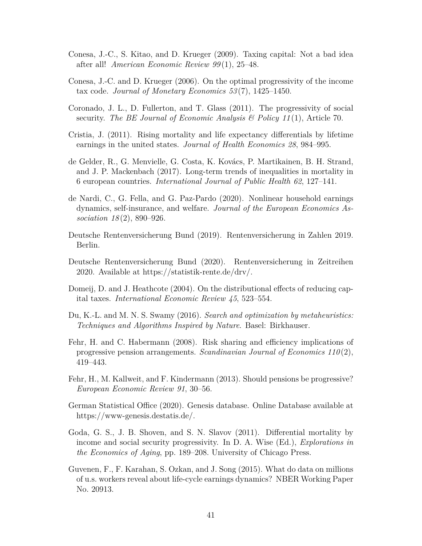- Conesa, J.-C., S. Kitao, and D. Krueger (2009). Taxing capital: Not a bad idea after all! *American Economic Review 99* (1), 25–48.
- Conesa, J.-C. and D. Krueger (2006). On the optimal progressivity of the income tax code. *Journal of Monetary Economics 53* (7), 1425–1450.
- Coronado, J. L., D. Fullerton, and T. Glass (2011). The progressivity of social security. *The BE Journal of Economic Analysis & Policy 11* (1), Article 70.
- Cristia, J. (2011). Rising mortality and life expectancy differentials by lifetime earnings in the united states. *Journal of Health Economics 28*, 984–995.
- de Gelder, R., G. Menvielle, G. Costa, K. Kovács, P. Martikainen, B. H. Strand, and J. P. Mackenbach (2017). Long-term trends of inequalities in mortality in 6 european countries. *International Journal of Public Health 62*, 127–141.
- de Nardi, C., G. Fella, and G. Paz-Pardo (2020). Nonlinear household earnings dynamics, self-insurance, and welfare. *Journal of the European Economics Association 18* (2), 890–926.
- Deutsche Rentenversicherung Bund (2019). Rentenversicherung in Zahlen 2019. Berlin.
- Deutsche Rentenversicherung Bund (2020). Rentenversicherung in Zeitreihen 2020. Available at https://statistik-rente.de/drv/.
- Domeij, D. and J. Heathcote (2004). On the distributional effects of reducing capital taxes. *International Economic Review 45*, 523–554.
- Du, K.-L. and M. N. S. Swamy (2016). *Search and optimization by metaheuristics: Techniques and Algorithms Inspired by Nature*. Basel: Birkhauser.
- Fehr, H. and C. Habermann (2008). Risk sharing and efficiency implications of progressive pension arrangements. *Scandinavian Journal of Economics 110* (2), 419–443.
- Fehr, H., M. Kallweit, and F. Kindermann (2013). Should pensions be progressive? *European Economic Review 91*, 30–56.
- German Statistical Office (2020). Genesis database. Online Database available at https://www-genesis.destatis.de/.
- Goda, G. S., J. B. Shoven, and S. N. Slavov (2011). Differential mortality by income and social security progressivity. In D. A. Wise (Ed.), *Explorations in the Economics of Aging*, pp. 189–208. University of Chicago Press.
- Guvenen, F., F. Karahan, S. Ozkan, and J. Song (2015). What do data on millions of u.s. workers reveal about life-cycle earnings dynamics? NBER Working Paper No. 20913.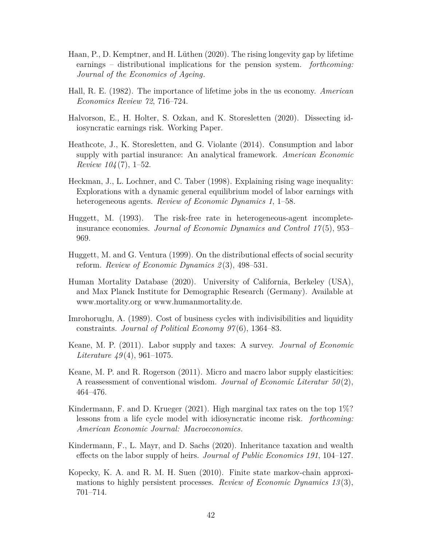- Haan, P., D. Kemptner, and H. Lüthen (2020). The rising longevity gap by lifetime earnings – distributional implications for the pension system. *forthcoming: Journal of the Economics of Ageing*.
- Hall, R. E. (1982). The importance of lifetime jobs in the us economy. *American Economics Review 72*, 716–724.
- Halvorson, E., H. Holter, S. Ozkan, and K. Storesletten (2020). Dissecting idiosyncratic earnings risk. Working Paper.
- Heathcote, J., K. Storesletten, and G. Violante (2014). Consumption and labor supply with partial insurance: An analytical framework. *American Economic Review 104* (7), 1–52.
- Heckman, J., L. Lochner, and C. Taber (1998). Explaining rising wage inequality: Explorations with a dynamic general equilibrium model of labor earnings with heterogeneous agents. *Review of Economic Dynamics 1*, 1–58.
- Huggett, M. (1993). The risk-free rate in heterogeneous-agent incompleteinsurance economies. *Journal of Economic Dynamics and Control 17* (5), 953– 969.
- Huggett, M. and G. Ventura (1999). On the distributional effects of social security reform. *Review of Economic Dynamics 2* (3), 498–531.
- Human Mortality Database (2020). University of California, Berkeley (USA), and Max Planck Institute for Demographic Research (Germany). Available at www.mortality.org or www.humanmortality.de.
- Imrohoruglu, A. (1989). Cost of business cycles with indivisibilities and liquidity constraints. *Journal of Political Economy 97* (6), 1364–83.
- Keane, M. P. (2011). Labor supply and taxes: A survey. *Journal of Economic Literature 49* (4), 961–1075.
- Keane, M. P. and R. Rogerson (2011). Micro and macro labor supply elasticities: A reassessment of conventional wisdom. *Journal of Economic Literatur 50* (2), 464–476.
- Kindermann, F. and D. Krueger  $(2021)$ . High marginal tax rates on the top  $1\%$ ? lessons from a life cycle model with idiosyncratic income risk. *forthcoming: American Economic Journal: Macroeconomics*.
- Kindermann, F., L. Mayr, and D. Sachs (2020). Inheritance taxation and wealth effects on the labor supply of heirs. *Journal of Public Economics 191*, 104–127.
- Kopecky, K. A. and R. M. H. Suen (2010). Finite state markov-chain approximations to highly persistent processes. *Review of Economic Dynamics 13* (3), 701–714.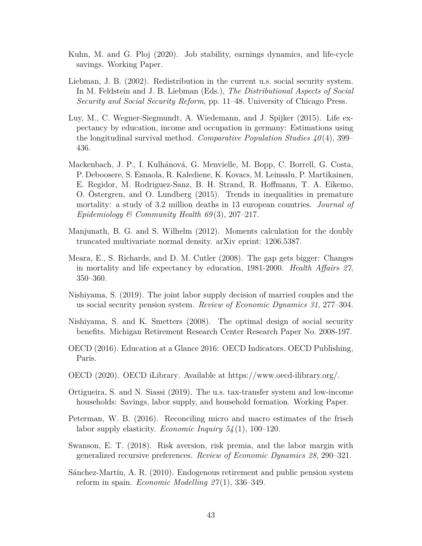- Kuhn, M. and G. Ploj (2020). Job stability, earnings dynamics, and life-cycle savings. Working Paper.
- Liebman, J. B. (2002). Redistribution in the current u.s. social security system. In M. Feldstein and J. B. Liebman (Eds.), *The Distributional Aspects of Social Security and Social Security Reform*, pp. 11–48. University of Chicago Press.
- Luy, M., C. Wegner-Siegmundt, A. Wiedemann, and J. Spijker (2015). Life expectancy by education, income and occupation in germany: Estimations using the longitudinal survival method. *Comparative Population Studies 40* (4), 399– 436.
- Mackenbach, J. P., I. Kulhánová, G. Menvielle, M. Bopp, C. Borrell, G. Costa, P. Deboosere, S. Esnaola, R. Kalediene, K. Kovacs, M. Leinsalu, P. Martikainen, E. Regidor, M. Rodriguez-Sanz, B. H. Strand, R. Hoffmann, T. A. Eikemo, O. Östergren, and O. Lundberg (2015). Trends in inequalities in premature mortality: a study of 3.2 million deaths in 13 european countries. *Journal of Epidemiology & Community Health 69* (3), 207–217.
- Manjunath, B. G. and S. Wilhelm (2012). Moments calculation for the doubly truncated multivariate normal density. arXiv eprint: 1206.5387.
- Meara, E., S. Richards, and D. M. Cutler (2008). The gap gets bigger: Changes in mortality and life expectancy by education, 1981-2000. *Health Affairs 27*, 350–360.
- Nishiyama, S. (2019). The joint labor supply decision of married couples and the us social security pension system. *Review of Economic Dynamics 31*, 277–304.
- Nishiyama, S. and K. Smetters (2008). The optimal design of social security benefits. Michigan Retirement Research Center Research Paper No. 2008-197.
- OECD (2016). Education at a Glance 2016: OECD Indicators. OECD Publishing, Paris.
- OECD (2020). OECD iLibrary. Available at https://www.oecd-ilibrary.org/.
- Ortigueira, S. and N. Siassi (2019). The u.s. tax-transfer system and low-income households: Savings, labor supply, and household formation. Working Paper.
- Peterman, W. B. (2016). Reconciling micro and macro estimates of the frisch labor supply elasticity. *Economic Inquiry 54* (1), 100–120.
- Swanson, E. T. (2018). Risk aversion, risk premia, and the labor margin with generalized recursive preferences. *Review of Economic Dynamics 28*, 290–321.
- Sánchez-Martín, A. R. (2010). Endogenous retirement and public pension system reform in spain. *Economic Modelling 27* (1), 336–349.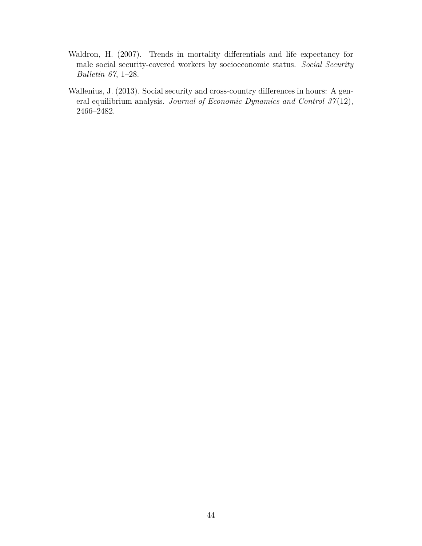- Waldron, H. (2007). Trends in mortality differentials and life expectancy for male social security-covered workers by socioeconomic status. *Social Security Bulletin 67*, 1–28.
- Wallenius, J. (2013). Social security and cross-country differences in hours: A general equilibrium analysis. *Journal of Economic Dynamics and Control 37* (12), 2466–2482.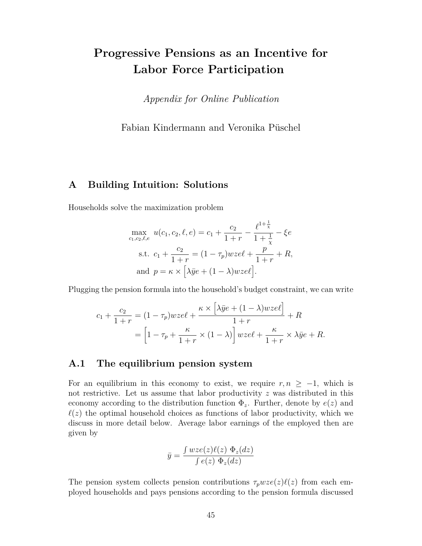# **Progressive Pensions as an Incentive for Labor Force Participation**

*Appendix for Online Publication*

Fabian Kindermann and Veronika Püschel

### **A Building Intuition: Solutions**

Households solve the maximization problem

$$
\max_{c_1, c_2, \ell, e} u(c_1, c_2, \ell, e) = c_1 + \frac{c_2}{1+r} - \frac{\ell^{1+\frac{1}{\chi}}}{1+\frac{1}{\chi}} - \xi e
$$
  
s.t.  $c_1 + \frac{c_2}{1+r} = (1 - \tau_p)wze\ell + \frac{p}{1+r} + R$ ,  
and  $p = \kappa \times [\lambda \bar{y}e + (1 - \lambda)wze\ell].$ 

Plugging the pension formula into the household's budget constraint, we can write

$$
c_1 + \frac{c_2}{1+r} = (1 - \tau_p)wze\ell + \frac{\kappa \times \left[\lambda \bar{y}e + (1 - \lambda)wze\ell\right]}{1+r} + R
$$
  
=  $\left[1 - \tau_p + \frac{\kappa}{1+r} \times (1 - \lambda)\right]wze\ell + \frac{\kappa}{1+r} \times \lambda \bar{y}e + R.$ 

### **A.1 The equilibrium pension system**

For an equilibrium in this economy to exist, we require  $r, n \geq -1$ , which is not restrictive. Let us assume that labor productivity *z* was distributed in this economy according to the distribution function  $\Phi_z$ . Further, denote by  $e(z)$  and  $\ell(z)$  the optimal household choices as functions of labor productivity, which we discuss in more detail below. Average labor earnings of the employed then are given by

$$
\bar{y} = \frac{\int wze(z)\ell(z) \ \Phi_z(dz)}{\int e(z) \ \Phi_z(dz)}
$$

The pension system collects pension contributions  $\tau_p wze(z)\ell(z)$  from each employed households and pays pensions according to the pension formula discussed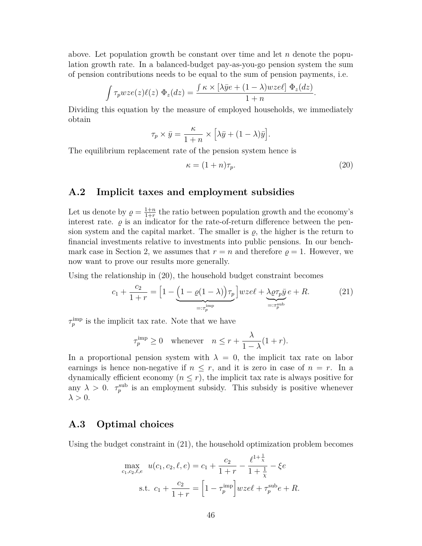above. Let population growth be constant over time and let *n* denote the population growth rate. In a balanced-budget pay-as-you-go pension system the sum of pension contributions needs to be equal to the sum of pension payments, i.e.

$$
\int \tau_p wze(z)\ell(z) \Phi_z(dz) = \frac{\int \kappa \times [\lambda \bar{y}e + (1-\lambda)wze\ell] \Phi_z(dz)}{1+n}.
$$

Dividing this equation by the measure of employed households, we immediately obtain

$$
\tau_p \times \bar{y} = \frac{\kappa}{1+n} \times \left[ \lambda \bar{y} + (1-\lambda)\bar{y} \right].
$$

The equilibrium replacement rate of the pension system hence is

$$
\kappa = (1+n)\tau_p. \tag{20}
$$

### **A.2 Implicit taxes and employment subsidies**

Let us denote by  $\rho = \frac{1+n}{1+r}$  $\frac{1+n}{1+r}$  the ratio between population growth and the economy's interest rate.  $\varrho$  is an indicator for the rate-of-return difference between the pension system and the capital market. The smaller is  $\rho$ , the higher is the return to financial investments relative to investments into public pensions. In our benchmark case in Section 2, we assumes that  $r = n$  and therefore  $\rho = 1$ . However, we now want to prove our results more generally.

Using the relationship in (20), the household budget constraint becomes

$$
c_1 + \frac{c_2}{1+r} = \left[1 - \underbrace{\left(1 - \varrho(1-\lambda)\right)\tau_p}_{=: \tau_p^{\text{imp}}} \right] wze\ell + \underbrace{\lambda \varrho \tau_p \bar{y}}_{=: \tau_p^{\text{sub}}} e + R. \tag{21}
$$

 $\tau_p^{\text{imp}}$  is the implicit tax rate. Note that we have

$$
\tau_p^{\text{imp}} \ge 0 \quad \text{whenever} \quad n \le r + \frac{\lambda}{1 - \lambda} (1 + r).
$$

In a proportional pension system with  $\lambda = 0$ , the implicit tax rate on labor earnings is hence non-negative if  $n \leq r$ , and it is zero in case of  $n = r$ . In a dynamically efficient economy  $(n \leq r)$ , the implicit tax rate is always positive for any  $\lambda > 0$ .  $\tau_p^{\text{sub}}$  is an employment subsidy. This subsidy is positive whenever  $\lambda > 0$ .

### **A.3 Optimal choices**

Using the budget constraint in (21), the household optimization problem becomes

$$
\max_{c_1, c_2, \ell, e} u(c_1, c_2, \ell, e) = c_1 + \frac{c_2}{1+r} - \frac{\ell^{1+\frac{1}{\chi}}}{1+\frac{1}{\chi}} - \xi e
$$
  
s.t.  $c_1 + \frac{c_2}{1+r} = \left[1 - \tau_p^{\text{imp}}\right]wze\ell + \tau_p^{\text{sub}}e + R.$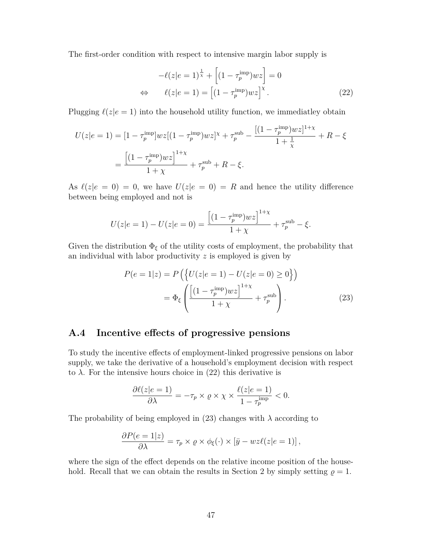The first-order condition with respect to intensive margin labor supply is

$$
-\ell(z|e=1)^{\frac{1}{\chi}} + \left[ (1 - \tau_p^{\text{imp}})wz \right] = 0
$$
  
\n
$$
\Leftrightarrow \qquad \ell(z|e=1) = \left[ (1 - \tau_p^{\text{imp}})wz \right]^{\chi}.
$$
\n(22)

Plugging  $\ell(z|e = 1)$  into the household utility function, we immediatley obtain

$$
U(z|e=1) = [1 - \tau_p^{\text{imp}}]wz[(1 - \tau_p^{\text{imp}})wz]^{\chi} + \tau_p^{\text{sub}} - \frac{[(1 - \tau_p^{\text{imp}})wz]^{1+\chi}}{1 + \frac{1}{\chi}} + R - \xi
$$
  
= 
$$
\frac{[(1 - \tau_p^{\text{imp}})wz]^{1+\chi}}{1+\chi} + \tau_p^{\text{sub}} + R - \xi.
$$

As  $\ell(z|e = 0) = 0$ , we have  $U(z|e = 0) = R$  and hence the utility difference between being employed and not is

$$
U(z|e = 1) - U(z|e = 0) = \frac{\left[ (1 - \tau_p^{imp})wz \right]^{1 + \chi}}{1 + \chi} + \tau_p^{sub} - \xi.
$$

Given the distribution  $\Phi_{\xi}$  of the utility costs of employment, the probability that an individual with labor productivity *z* is employed is given by

$$
P(e=1|z) = P\left(\left\{U(z|e=1) - U(z|e=0) \ge 0\right\}\right)
$$

$$
= \Phi_{\xi}\left(\frac{\left[(1-\tau_p^{\text{imp}})wz\right]^{1+\chi}}{1+\chi} + \tau_p^{\text{sub}}\right).
$$
(23)

### **A.4 Incentive effects of progressive pensions**

To study the incentive effects of employment-linked progressive pensions on labor supply, we take the derivative of a household's employment decision with respect to  $\lambda$ . For the intensive hours choice in (22) this derivative is

$$
\frac{\partial \ell(z|e=1)}{\partial \lambda} = -\tau_p \times \varrho \times \chi \times \frac{\ell(z|e=1)}{1 - \tau_p^{\text{imp}}} < 0.
$$

The probability of being employed in  $(23)$  changes with  $\lambda$  according to

$$
\frac{\partial P(e=1|z)}{\partial \lambda} = \tau_p \times \varrho \times \phi_{\xi}(\cdot) \times [\bar{y} - wz\ell(z|e=1)],
$$

where the sign of the effect depends on the relative income position of the household. Recall that we can obtain the results in Section 2 by simply setting  $\rho = 1$ .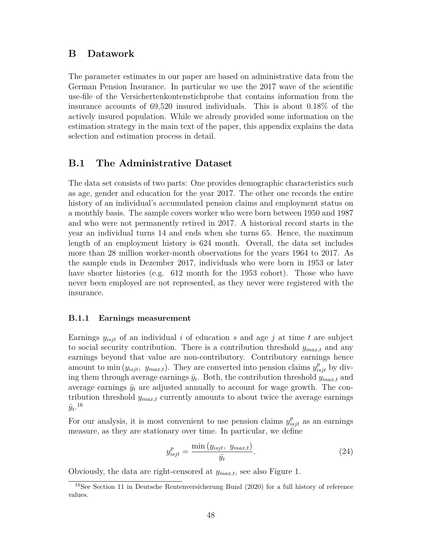### **B Datawork**

The parameter estimates in our paper are based on administrative data from the German Pension Insurance. In particular we use the 2017 wave of the scientific use-file of the Versichertenkontenstichprobe that contains information from the insurance accounts of 69,520 insured individuals. This is about 0.18% of the actively insured population. While we already provided some information on the estimation strategy in the main text of the paper, this appendix explains the data selection and estimation process in detail.

### **B.1 The Administrative Dataset**

The data set consists of two parts: One provides demographic characteristics such as age, gender and education for the year 2017. The other one records the entire history of an individual's accumulated pension claims and employment status on a monthly basis. The sample covers worker who were born between 1950 and 1987 and who were not permanently retired in 2017. A historical record starts in the year an individual turns 14 and ends when she turns 65. Hence, the maximum length of an employment history is 624 month. Overall, the data set includes more than 28 million worker-month observations for the years 1964 to 2017. As the sample ends in Dezember 2017, individuals who were born in 1953 or later have shorter histories (e.g. 612 month for the 1953 cohort). Those who have never been employed are not represented, as they never were registered with the insurance.

#### **B.1.1 Earnings measurement**

Earnings *yisjt* of an individual *i* of education *s* and age *j* at time *t* are subject to social security contribution. There is a contribution threshold *ymax,t* and any earnings beyond that value are non-contributory. Contributory earnings hence amount to min  $(y_{isjt}, y_{max,t})$ . They are converted into pension claims  $y_{isjt}^p$  by diving them through average earnings  $\bar{y}_t$ . Both, the contribution threshold  $y_{max,t}$  and average earnings  $\bar{y}_t$  are adjusted annually to account for wage growth. The contribution threshold *ymax,t* currently amounts to about twice the average earnings  $\bar{y}_t$ .<sup>16</sup>

For our analysis, it is most convenient to use pension claims  $y_{isjt}^p$  as an earnings measure, as they are stationary over time. In particular, we define

$$
y_{isjt}^p = \frac{\min(y_{isjt}, y_{max,t})}{\bar{y}_t}.
$$
\n(24)

Obviously, the data are right-censored at *ymax,t*, see also Figure 1.

<sup>16</sup>See Section 11 in Deutsche Rentenversicherung Bund (2020) for a full history of reference values.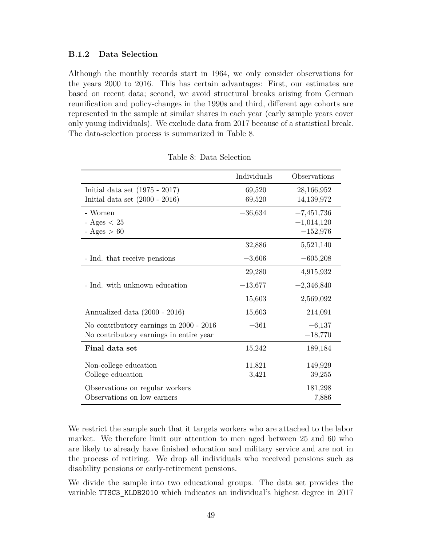### **B.1.2 Data Selection**

Although the monthly records start in 1964, we only consider observations for the years 2000 to 2016. This has certain advantages: First, our estimates are based on recent data; second, we avoid structural breaks arising from German reunification and policy-changes in the 1990s and third, different age cohorts are represented in the sample at similar shares in each year (early sample years cover only young individuals). We exclude data from 2017 because of a statistical break. The data-selection process is summarized in Table 8.

|                                         | Individuals | Observations |
|-----------------------------------------|-------------|--------------|
| Initial data set $(1975 - 2017)$        | 69,520      | 28,166,952   |
| Initial data set $(2000 - 2016)$        | 69,520      | 14,139,972   |
| - Women                                 | $-36,634$   | $-7,451,736$ |
| - Ages $< 25$                           |             | $-1,014,120$ |
| $-Ages > 60$                            |             | $-152,976$   |
|                                         | 32,886      | 5,521,140    |
| - Ind. that receive pensions            | $-3,606$    | $-605,208$   |
|                                         | 29,280      | 4,915,932    |
| - Ind. with unknown education           | $-13,677$   | $-2,346,840$ |
|                                         | 15,603      | 2,569,092    |
| Annualized data (2000 - 2016)           | 15,603      | 214,091      |
| No contributory earnings in 2000 - 2016 | $-361$      | $-6,137$     |
| No contributory earnings in entire year |             | $-18,770$    |
| Final data set                          | 15,242      | 189,184      |
| Non-college education                   | 11,821      | 149,929      |
| College education                       | 3,421       | 39,255       |
| Observations on regular workers         |             | 181,298      |
| Observations on low earners             |             | 7,886        |

Table 8: Data Selection

We restrict the sample such that it targets workers who are attached to the labor market. We therefore limit our attention to men aged between 25 and 60 who are likely to already have finished education and military service and are not in the process of retiring. We drop all individuals who received pensions such as disability pensions or early-retirement pensions.

We divide the sample into two educational groups. The data set provides the variable TTSC3\_KLDB2010 which indicates an individual's highest degree in 2017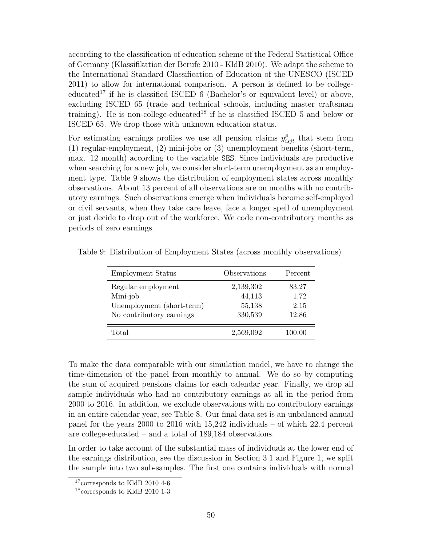according to the classification of education scheme of the Federal Statistical Office of Germany (Klassifikation der Berufe 2010 - KldB 2010). We adapt the scheme to the International Standard Classification of Education of the UNESCO (ISCED 2011) to allow for international comparison. A person is defined to be collegeeducated<sup>17</sup> if he is classified ISCED 6 (Bachelor's or equivalent level) or above, excluding ISCED 65 (trade and technical schools, including master craftsman training). He is non-college-educated<sup>18</sup> if he is classified ISCED 5 and below or ISCED 65. We drop those with unknown education status.

For estimating earnings profiles we use all pension claims  $y_{isjt}^p$  that stem from (1) regular-employment, (2) mini-jobs or (3) unemployment benefits (short-term, max. 12 month) according to the variable SES. Since individuals are productive when searching for a new job, we consider short-term unemployment as an employment type. Table 9 shows the distribution of employment states across monthly observations. About 13 percent of all observations are on months with no contributory earnings. Such observations emerge when individuals become self-employed or civil servants, when they take care leave, face a longer spell of unemployment or just decide to drop out of the workforce. We code non-contributory months as periods of zero earnings.

| <b>Employment Status</b>  | Observations | Percent |
|---------------------------|--------------|---------|
| Regular employment        | 2,139,302    | 83.27   |
| Mini-job                  | 44,113       | 1.72    |
| Unemployment (short-term) | 55,138       | 2.15    |
| No contributory earnings  | 330,539      | 12.86   |
| Total                     | 2,569,092    | 100.00  |

Table 9: Distribution of Employment States (across monthly observations)

To make the data comparable with our simulation model, we have to change the time-dimension of the panel from monthly to annual. We do so by computing the sum of acquired pensions claims for each calendar year. Finally, we drop all sample individuals who had no contributory earnings at all in the period from 2000 to 2016. In addition, we exclude observations with no contributory earnings in an entire calendar year, see Table 8. Our final data set is an unbalanced annual panel for the years 2000 to 2016 with 15,242 individuals – of which 22.4 percent are college-educated – and a total of 189,184 observations.

In order to take account of the substantial mass of individuals at the lower end of the earnings distribution, see the discussion in Section 3.1 and Figure 1, we split the sample into two sub-samples. The first one contains individuals with normal

 $17$ corresponds to KldB 2010 4-6

<sup>18</sup>corresponds to KldB 2010 1-3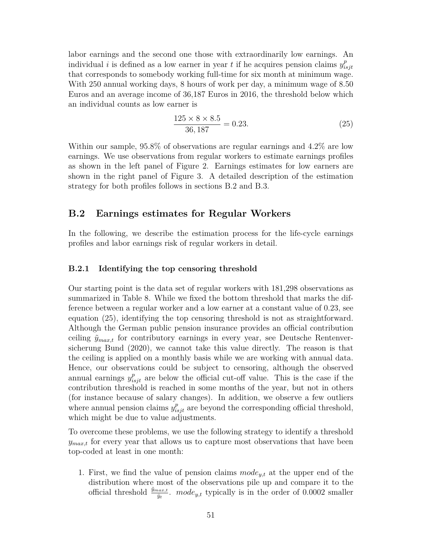labor earnings and the second one those with extraordinarily low earnings. An individual *i* is defined as a low earner in year *t* if he acquires pension claims  $y_i^p$ *isjt* that corresponds to somebody working full-time for six month at minimum wage. With 250 annual working days, 8 hours of work per day, a minimum wage of 8.50 Euros and an average income of 36,187 Euros in 2016, the threshold below which an individual counts as low earner is

$$
\frac{125 \times 8 \times 8.5}{36,187} = 0.23.
$$
 (25)

Within our sample, 95.8% of observations are regular earnings and 4.2% are low earnings. We use observations from regular workers to estimate earnings profiles as shown in the left panel of Figure 2. Earnings estimates for low earners are shown in the right panel of Figure 3. A detailed description of the estimation strategy for both profiles follows in sections B.2 and B.3.

### **B.2 Earnings estimates for Regular Workers**

In the following, we describe the estimation process for the life-cycle earnings profiles and labor earnings risk of regular workers in detail.

#### **B.2.1 Identifying the top censoring threshold**

Our starting point is the data set of regular workers with 181,298 observations as summarized in Table 8. While we fixed the bottom threshold that marks the difference between a regular worker and a low earner at a constant value of 0.23, see equation (25), identifying the top censoring threshold is not as straightforward. Although the German public pension insurance provides an official contribution ceiling  $\tilde{y}_{max,t}$  for contributory earnings in every year, see Deutsche Rentenversicherung Bund (2020), we cannot take this value directly. The reason is that the ceiling is applied on a monthly basis while we are working with annual data. Hence, our observations could be subject to censoring, although the observed annual earnings  $y_{isjt}^p$  are below the official cut-off value. This is the case if the contribution threshold is reached in some months of the year, but not in others (for instance because of salary changes). In addition, we observe a few outliers where annual pension claims  $y_{isjt}^p$  are beyond the corresponding official threshold, which might be due to value adjustments.

To overcome these problems, we use the following strategy to identify a threshold  $y_{max,t}$  for every year that allows us to capture most observations that have been top-coded at least in one month:

1. First, we find the value of pension claims *modey,t* at the upper end of the distribution where most of the observations pile up and compare it to the official threshold  $\frac{\tilde{y}_{max,t}}{\tilde{y}_t}$ . *mode<sub>y,t</sub>* typically is in the order of 0.0002 smaller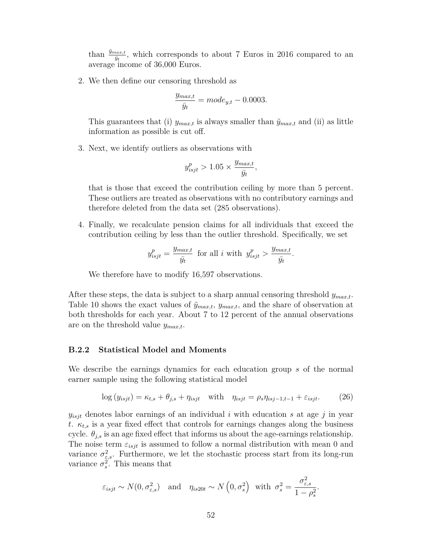than  $\frac{\tilde{y}_{max,t}}{\tilde{y}_t}$ , which corresponds to about 7 Euros in 2016 compared to an average income of 36,000 Euros.

2. We then define our censoring threshold as

$$
\frac{y_{max,t}}{\bar{y}_t} = mode_{y,t} - 0.0003.
$$

This guarantees that (i)  $y_{max,t}$  is always smaller than  $\tilde{y}_{max,t}$  and (ii) as little information as possible is cut off.

3. Next, we identify outliers as observations with

$$
y_{isjt}^p > 1.05 \times \frac{y_{max,t}}{\bar{y}_t},
$$

that is those that exceed the contribution ceiling by more than 5 percent. These outliers are treated as observations with no contributory earnings and therefore deleted from the data set (285 observations).

4. Finally, we recalculate pension claims for all individuals that exceed the contribution ceiling by less than the outlier threshold. Specifically, we set

$$
y_{isjt}^p = \frac{y_{max,t}}{\bar{y}_t}
$$
 for all *i* with  $y_{isjt}^p > \frac{y_{max,t}}{\bar{y}_t}$ .

We therefore have to modify 16,597 observations.

After these steps, the data is subject to a sharp annual censoring threshold *ymax,t*. Table 10 shows the exact values of  $\tilde{y}_{max,t}$ ,  $y_{max,t}$ , and the share of observation at both thresholds for each year. About 7 to 12 percent of the annual observations are on the threshold value *ymax,t*.

#### **B.2.2 Statistical Model and Moments**

We describe the earnings dynamics for each education group *s* of the normal earner sample using the following statistical model

$$
\log(y_{isjt}) = \kappa_{t,s} + \theta_{j,s} + \eta_{isjt} \quad \text{with} \quad \eta_{isjt} = \rho_s \eta_{isj-1,t-1} + \varepsilon_{isjt}.
$$
 (26)

 $y_{isjt}$  denotes labor earnings of an individual *i* with education *s* at age *j* in year *t*.  $\kappa_{t,s}$  is a year fixed effect that controls for earnings changes along the business cycle.  $\theta_{j,s}$  is an age fixed effect that informs us about the age-earnings relationship. The noise term  $\varepsilon_{isjt}$  is assumed to follow a normal distribution with mean 0 and variance  $\sigma_{\varepsilon,s}^2$ . Furthermore, we let the stochastic process start from its long-run variance  $\sigma_s^2$ . This means that

$$
\varepsilon_{isjt} \sim N(0, \sigma_{\varepsilon,s}^2)
$$
 and  $\eta_{is20t} \sim N(0, \sigma_s^2)$  with  $\sigma_s^2 = \frac{\sigma_{\varepsilon,s}^2}{1 - \rho_s^2}$ .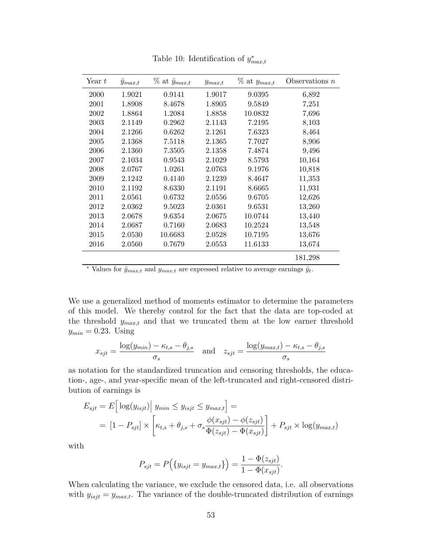| Year $t$ | $\ddot{y}_{max,t}$ | $\%$ at $\tilde{y}_{max,t}$ | $y_{max,t}$ | $\%$ at $y_{max,t}$ | Observations $n$ |
|----------|--------------------|-----------------------------|-------------|---------------------|------------------|
| 2000     | 1.9021             | 0.9141                      | 1.9017      | 9.0395              | 6,892            |
| 2001     | 1.8908             | 8.4678                      | 1.8905      | 9.5849              | 7,251            |
| 2002     | 1.8864             | 1.2084                      | 1.8858      | 10.0832             | 7,696            |
| 2003     | 2.1149             | 0.2962                      | 2.1143      | 7.2195              | 8,103            |
| 2004     | 2.1266             | 0.6262                      | 2.1261      | 7.6323              | 8,464            |
| 2005     | 2.1368             | 7.5118                      | 2.1365      | 7.7027              | 8,906            |
| 2006     | 2.1360             | 7.3505                      | 2.1358      | 7.4874              | 9,496            |
| 2007     | 2.1034             | 0.9543                      | 2.1029      | 8.5793              | 10,164           |
| 2008     | 2.0767             | 1.0261                      | 2.0763      | 9.1976              | 10,818           |
| 2009     | 2.1242             | 0.4140                      | 2.1239      | 8.4647              | 11,353           |
| 2010     | 2.1192             | 8.6330                      | 2.1191      | 8.6665              | 11,931           |
| 2011     | 2.0561             | 0.6732                      | 2.0556      | 9.6705              | 12,626           |
| 2012     | 2.0362             | 9.5023                      | 2.0361      | 9.6531              | 13,260           |
| 2013     | 2.0678             | 9.6354                      | 2.0675      | 10.0744             | 13,440           |
| 2014     | 2.0687             | 0.7160                      | 2.0683      | 10.2524             | 13,548           |
| 2015     | 2.0530             | 10.6683                     | 2.0528      | 10.7195             | 13,676           |
| 2016     | 2.0560             | 0.7679                      | 2.0553      | 11.6133             | 13,674           |
|          |                    |                             |             |                     | 181,298          |

Table 10: Identification of  $y_{max,t}^*$ 

 $\bar{y}$  values for  $\tilde{y}_{max,t}$  and  $y_{max,t}$  are expressed relative to average earnings  $\bar{y}_t$ .

We use a generalized method of moments estimator to determine the parameters of this model. We thereby control for the fact that the data are top-coded at the threshold  $y_{max,t}$  and that we truncated them at the low earner threshold  $y_{min} = 0.23$ . Using

$$
x_{sjt} = \frac{\log(y_{min}) - \kappa_{t,s} - \theta_{j,s}}{\sigma_s} \quad \text{and} \quad z_{sjt} = \frac{\log(y_{max,t}) - \kappa_{t,s} - \theta_{j,s}}{\sigma_s}
$$

as notation for the standardized truncation and censoring thresholds, the education-, age-, and year-specific mean of the left-truncated and right-censored distribution of earnings is

$$
E_{sjt} = E\left[\log(y_{isjt})\middle| y_{min} \le y_{isjt} \le y_{max,t}\right] =
$$
  
= 
$$
\left[1 - P_{sjt}\right] \times \left[\kappa_{t,s} + \theta_{j,s} + \sigma_s \frac{\phi(x_{sjt}) - \phi(z_{sjt})}{\Phi(z_{sjt}) - \Phi(x_{sjt})}\right] + P_{sjt} \times \log(y_{max,t})
$$

with

$$
P_{sjt} = P(\{y_{isjt} = y_{max,t}\}) = \frac{1 - \Phi(z_{sjt})}{1 - \Phi(x_{sjt})}.
$$

When calculating the variance, we exclude the censored data, i.e. all observations with  $y_{isjt} = y_{max,t}$ . The variance of the double-truncated distribution of earnings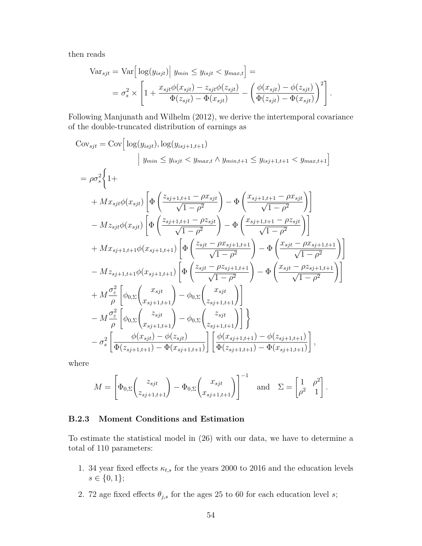then reads

$$
\begin{split} \text{Var}_{sjt} &= \text{Var}\Big[\log(y_{isjt})\Big|\ y_{min} \le y_{isjt} < y_{max,t}\Big] = \\ &= \sigma_s^2 \times \left[1 + \frac{x_{sjt}\phi(x_{sjt}) - z_{sjt}\phi(z_{sjt})}{\Phi(z_{sjt}) - \Phi(x_{sjt})} - \left(\frac{\phi(x_{sjt}) - \phi(z_{sjt})}{\Phi(z_{sjt}) - \Phi(x_{sjt})}\right)^2\right]. \end{split}
$$

Following Manjunath and Wilhelm (2012), we derive the intertemporal covariance of the double-truncated distribution of earnings as

$$
Cov_{sjt} = Cov\Big[log(y_{isjt}), log(y_{isj+1,t+1})
$$
\n
$$
\Big| y_{min} \leq y_{isjt} < y_{max,t} \land y_{min,t+1} \leq y_{isj+1,t+1} < y_{max,t+1} \Big]
$$
\n
$$
= \rho \sigma_s^2 \Big\{ 1+
$$
\n
$$
+ Mx_{sjt} \phi(x_{sjt}) \Big[ \Phi\left(\frac{z_{sj+1,t+1} - \rho x_{sjt}}{\sqrt{1 - \rho^2}}\right) - \Phi\left(\frac{x_{sj+1,t+1} - \rho x_{sjt}}{\sqrt{1 - \rho^2}}\right) \Big]
$$
\n
$$
- Mz_{sjt} \phi(x_{sjt}) \Big[ \Phi\left(\frac{z_{sj+1,t+1} - \rho z_{sjt}}{\sqrt{1 - \rho^2}}\right) - \Phi\left(\frac{x_{sj+1,t+1} - \rho z_{sjt}}{\sqrt{1 - \rho^2}}\right) \Big]
$$
\n
$$
+ Mx_{sj+1,t+1} \phi(x_{sj+1,t+1}) \Big[ \Phi\left(\frac{z_{sjt} - \rho x_{sj+1,t+1}}{\sqrt{1 - \rho^2}}\right) - \Phi\left(\frac{x_{sjt} - \rho x_{sj+1,t+1}}{\sqrt{1 - \rho^2}}\right) \Big]
$$
\n
$$
- Mz_{sj+1,t+1} \phi(x_{sj+1,t+1}) \Big[ \Phi\left(\frac{z_{sjt} - \rho z_{sj+1,t+1}}{\sqrt{1 - \rho^2}}\right) - \Phi\left(\frac{x_{sjt} - \rho z_{sj+1,t+1}}{\sqrt{1 - \rho^2}}\right) \Big]
$$
\n
$$
+ M \frac{\sigma_c^2}{\rho} \Big[ \phi_{0,\Sigma} \begin{pmatrix} x_{sjt} \\ x_{sj+1,t+1} \end{pmatrix} - \phi_{0,\Sigma} \begin{pmatrix} x_{sjt} \\ z_{sj+1,t+1} \end{pmatrix} \Big]
$$
\n
$$
- M \frac{\sigma_c^2}{\rho} \Big[ \phi_{0,\Sigma} \begin{pmatrix} z_{sjt} \\ x_{sj+1,t+1} \end{pmatrix} - \phi_{0,\Sigma} \begin{pmatrix} z_{sjt} \\ z_{sj+1,t+1} \end{pmatrix} \Big] \Big\{ \frac{\phi(x_{sj+1,t+1}) -
$$

where

$$
M = \left[ \Phi_{0,\Sigma} \begin{pmatrix} z_{sjt} \\ z_{sj+1,t+1} \end{pmatrix} - \Phi_{0,\Sigma} \begin{pmatrix} x_{sjt} \\ x_{sj+1,t+1} \end{pmatrix} \right]^{-1} \text{ and } \Sigma = \begin{bmatrix} 1 & \rho^2 \\ \rho^2 & 1 \end{bmatrix}.
$$

#### **B.2.3 Moment Conditions and Estimation**

To estimate the statistical model in (26) with our data, we have to determine a total of 110 parameters:

- 1. 34 year fixed effects  $\kappa_{t,s}$  for the years 2000 to 2016 and the education levels  $s \in \{0, 1\};$
- 2. 72 age fixed effects  $\theta_{j,s}$  for the ages 25 to 60 for each education level *s*;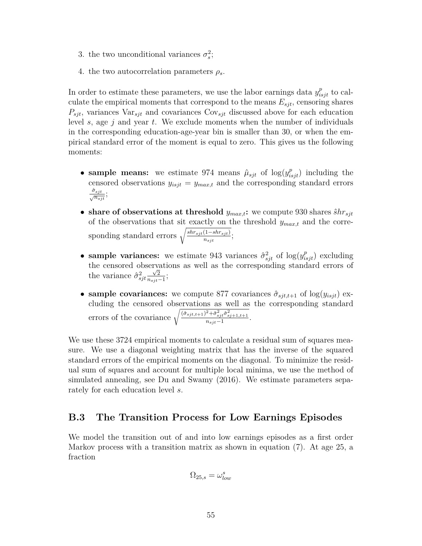- 3. the two unconditional variances  $\sigma_s^2$ ;
- 4. the two autocorrelation parameters  $\rho_s$ .

In order to estimate these parameters, we use the labor earnings data  $y_{isjt}^p$  to calculate the empirical moments that correspond to the means  $E_{sjt}$ , censoring shares  $P_{sjt}$ , variances  $\text{Var}_{sjt}$  and covariances  $\text{Cov}_{sjt}$  discussed above for each education level *s*, age *j* and year *t*. We exclude moments when the number of individuals in the corresponding education-age-year bin is smaller than 30, or when the empirical standard error of the moment is equal to zero. This gives us the following moments:

- sample means: we estimate 974 means  $\hat{\mu}_{sjt}$  of  $\log(y_{isjt}^p)$  including the censored observations  $y_{isjt} = y_{max,t}$  and the corresponding standard errors  $\frac{\hat{\sigma}_{sjt}}{\sqrt{n_{sjt}}};$
- share of observations at threshold  $y_{max,t}$ ; we compute 930 shares  $\hat{s}hr_{sjt}$ of the observations that sit exactly on the threshold *ymax,t* and the corresponding standard errors  $\sqrt{\frac{shr_{sjt}(1-shr_{sjt})}{n}}$  $\frac{(1 - snr_{sjt})}{n_{sjt}}$ ;
- sample variances: we estimate 943 variances  $\hat{\sigma}_{sjt}^2$  of  $\log(y_{isjt}^p)$  excluding the censored observations as well as the corresponding standard errors of the variance  $\hat{\sigma}_{sjt}^2 \frac{\sqrt{2}}{n_{sjt}}$  $\frac{\sqrt{2}}{n_{sjt}-1};$
- **sample covariances:** we compute 877 covariances  $\hat{\sigma}_{sjt,t+1}$  of  $\log(y_{isjt})$  excluding the censored observations as well as the corresponding standard errors of the covariance  $\sqrt{\frac{(\hat{\sigma}_{sjt,t+1})^2 + \hat{\sigma}_{sj}^2 \hat{\sigma}_{sj+1,t+1}^2}{n_{sjt}-1}}$ .

We use these 3724 empirical moments to calculate a residual sum of squares measure. We use a diagonal weighting matrix that has the inverse of the squared standard errors of the empirical moments on the diagonal. To minimize the residual sum of squares and account for multiple local minima, we use the method of simulated annealing, see Du and Swamy (2016). We estimate parameters separately for each education level *s*.

### **B.3 The Transition Process for Low Earnings Episodes**

We model the transition out of and into low earnings episodes as a first order Markov process with a transition matrix as shown in equation (7). At age 25, a fraction

$$
\Omega_{25,s} = \omega_{low}^s
$$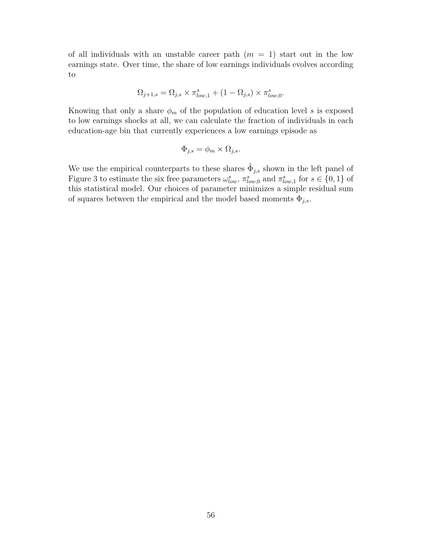of all individuals with an unstable career path  $(m = 1)$  start out in the low earnings state. Over time, the share of low earnings individuals evolves according to

$$
\Omega_{j+1,s} = \Omega_{j,s} \times \pi_{low,1}^s + (1 - \Omega_{j,s}) \times \pi_{low,0}^s.
$$

Knowing that only a share  $\phi_m$  of the population of education level *s* is exposed to low earnings shocks at all, we can calculate the fraction of individuals in each education-age bin that currently experiences a low earnings episode as

$$
\Phi_{j,s} = \phi_m \times \Omega_{j,s}.
$$

We use the empirical counterparts to these shares  $\hat{\Phi}_{j,s}$  shown in the left panel of Figure 3 to estimate the six free parameters  $\omega_{low}^s$ ,  $\pi_{low,0}^s$  and  $\pi_{low,1}^s$  for  $s \in \{0,1\}$  of this statistical model. Our choices of parameter minimizes a simple residual sum of squares between the empirical and the model based moments  $\Phi_{j,s}$ .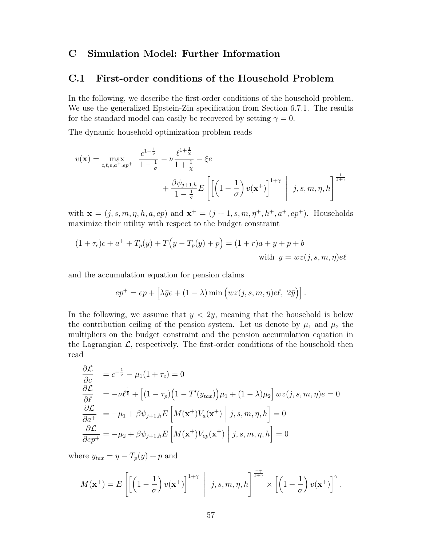### **C Simulation Model: Further Information**

### **C.1 First-order conditions of the Household Problem**

In the following, we describe the first-order conditions of the household problem. We use the generalized Epstein-Zin specification from Section 6.7.1. The results for the standard model can easily be recovered by setting  $\gamma = 0$ .

The dynamic household optimization problem reads

$$
v(\mathbf{x}) = \max_{c,\ell,e,a^+,ep^+} \frac{c^{1-\frac{1}{\sigma}}}{1-\frac{1}{\sigma}} - \nu \frac{\ell^{1+\frac{1}{\chi}}}{1+\frac{1}{\chi}} - \xi e
$$
  
+  $\frac{\beta \psi_{j+1,h}}{1-\frac{1}{\sigma}} E\left[ \left(1-\frac{1}{\sigma}\right) v(\mathbf{x}^+) \right]^{1+\gamma} \mid j, s, m, \eta, h \right]^{\frac{1}{1+\gamma}}$ 

with  $\mathbf{x} = (j, s, m, \eta, h, a, ep)$  and  $\mathbf{x}^+ = (j + 1, s, m, \eta^+, h^+, a^+, ep^+)$ . Households maximize their utility with respect to the budget constraint

$$
(1 + \tau_c)c + a^+ + T_p(y) + T(y - T_p(y) + p) = (1 + r)a + y + p + b
$$
  
with  $y = wz(j, s, m, \eta)e\ell$ 

and the accumulation equation for pension claims

$$
ep^{+} = ep + \left[\lambda \bar{y}e + (1 - \lambda) \min \left(wz(j, s, m, \eta)e\ell, 2\bar{y}\right)\right].
$$

In the following, we assume that  $y < 2\bar{y}$ , meaning that the household is below the contribution ceiling of the pension system. Let us denote by  $\mu_1$  and  $\mu_2$  the multipliers on the budget constraint and the pension accumulation equation in the Lagrangian  $\mathcal{L}$ , respectively. The first-order conditions of the household then read

$$
\frac{\partial \mathcal{L}}{\partial c} = c^{-\frac{1}{\sigma}} - \mu_1 (1 + \tau_c) = 0
$$
\n
$$
\frac{\partial \mathcal{L}}{\partial \ell} = -\nu \ell^{\frac{1}{\xi}} + \left[ (1 - \tau_p) \left( 1 - T'(y_{tax}) \right) \mu_1 + (1 - \lambda) \mu_2 \right] wz(j, s, m, \eta) e = 0
$$
\n
$$
\frac{\partial \mathcal{L}}{\partial a^+} = -\mu_1 + \beta \psi_{j+1,h} E\left[ M(\mathbf{x}^+) V_a(\mathbf{x}^+) \middle| j, s, m, \eta, h \right] = 0
$$
\n
$$
\frac{\partial \mathcal{L}}{\partial e p^+} = -\mu_2 + \beta \psi_{j+1,h} E\left[ M(\mathbf{x}^+) V_{ep}(\mathbf{x}^+) \middle| j, s, m, \eta, h \right] = 0
$$

where  $y_{tax} = y - T_p(y) + p$  and

$$
M(\mathbf{x}^+) = E\left[\left[\left(1 - \frac{1}{\sigma}\right)v(\mathbf{x}^+)\right]^{1+\gamma} \middle| j, s, m, \eta, h\right]^{\frac{-\gamma}{1+\gamma}} \times \left[\left(1 - \frac{1}{\sigma}\right)v(\mathbf{x}^+)\right]^{\gamma}.
$$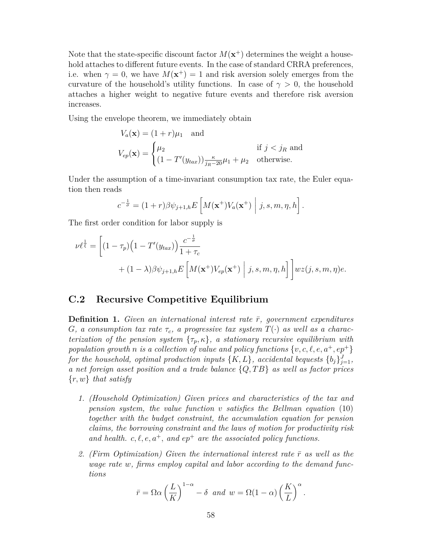Note that the state-specific discount factor  $M(\mathbf{x}^+)$  determines the weight a household attaches to different future events. In the case of standard CRRA preferences, i.e. when  $\gamma = 0$ , we have  $M(\mathbf{x}^+) = 1$  and risk aversion solely emerges from the curvature of the household's utility functions. In case of  $\gamma > 0$ , the household attaches a higher weight to negative future events and therefore risk aversion increases.

Using the envelope theorem, we immediately obtain

$$
V_a(\mathbf{x}) = (1+r)\mu_1 \text{ and}
$$
  
\n
$$
V_{ep}(\mathbf{x}) = \begin{cases} \mu_2 & \text{if } j < j_R \text{ and} \\ (1 - T'(y_{tax}))\frac{\kappa}{jn-20}\mu_1 + \mu_2 & \text{otherwise.} \end{cases}
$$

Under the assumption of a time-invariant consumption tax rate, the Euler equation then reads

$$
c^{-\frac{1}{\sigma}} = (1+r)\beta \psi_{j+1,h} E\left[M(\mathbf{x}^+)V_a(\mathbf{x}^+) \middle| j, s, m, \eta, h\right].
$$

The first order condition for labor supply is

$$
\nu \ell^{\frac{1}{\xi}} = \left[ (1 - \tau_p) \left( 1 - T'(y_{tax}) \right) \frac{c^{-\frac{1}{\sigma}}}{1 + \tau_c} + (1 - \lambda) \beta \psi_{j+1,h} E\left[ M(\mathbf{x}^+) V_{ep}(\mathbf{x}^+) \middle| j, s, m, \eta, h \right] \right] wz(j, s, m, \eta) e.
$$

### **C.2 Recursive Competitive Equilibrium**

**Definition 1.** *Given an international interest rate*  $\bar{r}$ *, government expenditures G*, a consumption tax rate  $\tau_c$ , a progressive tax system  $T(\cdot)$  as well as a charac*terization of the pension system*  $\{\tau_p, \kappa\}$ *, a stationary recursive equilibrium with population growth n is a collection of value and policy functions*  $\{v, c, \ell, e, a^+, ep^+\}$ *for the household, optimal production inputs*  $\{K, L\}$ *, accidental bequests*  $\{b_j\}_{j=1}^J$ *, a net foreign asset position and a trade balance* {*Q, T B*} *as well as factor prices* {*r, w*} *that satisfy*

- *1. (Household Optimization) Given prices and characteristics of the tax and pension system, the value function v satisfies the Bellman equation* (10) *together with the budget constraint, the accumulation equation for pension claims, the borrowing constraint and the laws of motion for productivity risk* and health.  $c, \ell, e, a^+,$  and  $ep^+$  are the associated policy functions.
- 2. *(Firm Optimization) Given the international interest rate*  $\bar{r}$  as well as the *wage rate w, firms employ capital and labor according to the demand functions*

$$
\bar{r} = \Omega \alpha \left(\frac{L}{K}\right)^{1-\alpha} - \delta \text{ and } w = \Omega(1-\alpha) \left(\frac{K}{L}\right)^{\alpha}.
$$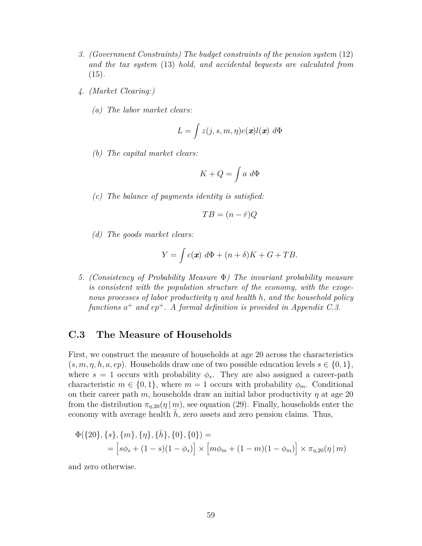- *3. (Government Constraints) The budget constraints of the pension system* (12) *and the tax system* (13) *hold, and accidental bequests are calculated from* (15)*.*
- *4. (Market Clearing:)*
	- *(a) The labor market clears:*

$$
L = \int z(j, s, m, \eta) e(\boldsymbol{x}) l(\boldsymbol{x}) \ d\Phi
$$

*(b) The capital market clears:*

$$
K + Q = \int a \, d\Phi
$$

*(c) The balance of payments identity is satisfied:*

$$
TB = (n - \bar{r})Q
$$

*(d) The goods market clears:*

$$
Y = \int c(\mathbf{x}) \ d\Phi + (n+\delta)K + G + TB.
$$

*5. (Consistency of Probability Measure* Φ*) The invariant probability measure is consistent with the population structure of the economy, with the exogenous processes of labor productivity η and health h, and the household policy functions a* <sup>+</sup> *and ep*<sup>+</sup>*. A formal definition is provided in Appendix C.3.*

### **C.3 The Measure of Households**

First, we construct the measure of households at age 20 across the characteristics  $(s, m, \eta, h, a, ep)$ . Households draw one of two possible education levels  $s \in \{0, 1\}$ , where  $s = 1$  occurs with probability  $\phi_s$ . They are also assigned a career-path characteristic  $m \in \{0,1\}$ , where  $m=1$  occurs with probability  $\phi_m$ . Conditional on their career path *m*, households draw an initial labor productivity *η* at age 20 from the distribution  $\pi_{\eta,20}(\eta | m)$ , see equation (29). Finally, households enter the economy with average health  $h$ , zero assets and zero pension claims. Thus,

$$
\Phi({20}, {s}, {m}, {n}, {h}, {h}, {0}, {0}) =
$$
\n
$$
= [s\phi_s + (1 - s)(1 - \phi_s)] \times [m\phi_m + (1 - m)(1 - \phi_m)] \times \pi_{\eta, 20}(\eta | m)
$$

and zero otherwise.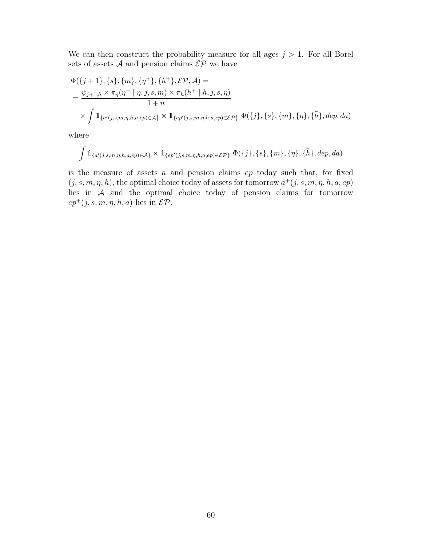We can then construct the probability measure for all ages  $j > 1$ . For all Borel sets of assets  $A$  and pension claims  $\mathcal{E} \mathcal{P}$  we have

$$
\Phi({j+1}, \{s\}, \{m\}, \{\eta^+\}, \{h^+\}, \mathcal{EP}, \mathcal{A}) =
$$
\n
$$
= \frac{\psi_{j+1,h} \times \pi_{\eta}(\eta^+ \mid \eta, j, s, m) \times \pi_h(h^+ \mid h, j, s, \eta)}{1+n}
$$
\n
$$
\times \int \mathbb{1}_{\{a'(j,s,m,\eta,h,a,ep) \in \mathcal{A}\}} \times \mathbb{1}_{\{ep'(j,s,m,\eta,h,a,ep) \in \mathcal{EP}\}} \Phi({j}, \{s\}, \{m\}, \{\eta\}, \{\bar{h}\}, dep, da)
$$

where

$$
\int \mathbb{1}_{\{a'(j,s,m,\eta,h,a,ep)\in\mathcal{A}\}} \times \mathbb{1}_{\{ep'(j,s,m,\eta,h,a,ep)\in\mathcal{EP}\}} \Phi(\{j\},\{s\},\{m\},\{\eta\},\{\bar{h}\},dep,da)
$$

is the measure of assets *a* and pension claims *ep* today such that, for fixed  $(j, s, m, \eta, h)$ , the optimal choice today of assets for tomorrow  $a^+(j, s, m, \eta, h, a, ep)$ lies in A and the optimal choice today of pension claims for tomorrow  $ep^+(j, s, m, \eta, h, a)$  lies in  $\mathcal{EP}$ .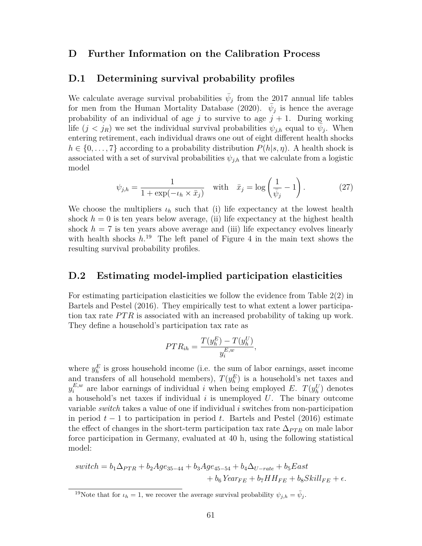### **D Further Information on the Calibration Process**

### **D.1 Determining survival probability profiles**

We calculate average survival probabilities  $\bar{\psi}_j$  from the 2017 annual life tables for men from the Human Mortality Database (2020).  $\bar{\psi}_j$  is hence the average probability of an individual of age  $j$  to survive to age  $j + 1$ . During working life  $(j < j_R)$  we set the individual survival probabilities  $\psi_{j,h}$  equal to  $\bar{\psi}_j$ . When entering retirement, each individual draws one out of eight different health shocks  $h \in \{0, \ldots, 7\}$  according to a probability distribution  $P(h|s, \eta)$ . A health shock is associated with a set of survival probabilities  $\psi_{j,h}$  that we calculate from a logistic model

$$
\psi_{j,h} = \frac{1}{1 + \exp(-t_h \times \bar{x}_j)} \quad \text{with} \quad \bar{x}_j = \log\left(\frac{1}{\bar{\psi}_j} - 1\right). \tag{27}
$$

We choose the multipliers  $\iota_h$  such that (i) life expectancy at the lowest health shock  $h = 0$  is ten years below average, (ii) life expectancy at the highest health shock  $h = 7$  is ten years above average and (iii) life expectancy evolves linearly with health shocks  $h^{19}$ . The left panel of Figure 4 in the main text shows the resulting survival probability profiles.

### **D.2 Estimating model-implied participation elasticities**

For estimating participation elasticities we follow the evidence from Table 2(2) in Bartels and Pestel (2016). They empirically test to what extent a lower participation tax rate *PTR* is associated with an increased probability of taking up work. They define a household's participation tax rate as

$$
PTR_{ih} = \frac{T(y_h^E) - T(y_h^U)}{y_i^{E,w}},
$$

where  $y_h^E$  is gross household income (i.e. the sum of labor earnings, asset income and transfers of all household members),  $T(y_h^E)$  is a household's net taxes and  $y_i^{E,w}$  are labor earnings of individual *i* when being employed *E*. *T*( $y_h^U$ ) denotes a household's net taxes if individual *i* is unemployed *U*. The binary outcome variable *switch* takes a value of one if individual *i* switches from non-participation in period *t* − 1 to participation in period *t*. Bartels and Pestel (2016) estimate the effect of changes in the short-term participation tax rate  $\Delta_{PTR}$  on male labor force participation in Germany, evaluated at 40 h, using the following statistical model:

$$
switch = b_1 \Delta_{PTR} + b_2 Age_{35-44} + b_3Age_{45-54} + b_4 \Delta_{U-rate} + b_5East
$$
  
+  $b_6 Year_{FE} + b_7HH_{FE} + b_8 Skill_{FE} + \epsilon.$ 

<sup>&</sup>lt;sup>19</sup>Note that for  $\iota_h = 1$ , we recover the average survival probability  $\psi_{j,h} = \bar{\psi}_j$ .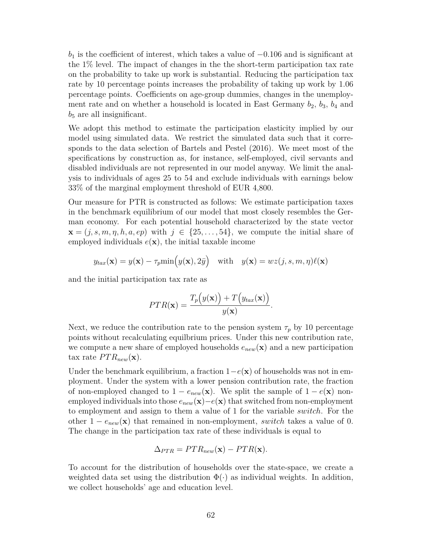*b*<sub>1</sub> is the coefficient of interest, which takes a value of −0.106 and is significant at the 1% level. The impact of changes in the the short-term participation tax rate on the probability to take up work is substantial. Reducing the participation tax rate by 10 percentage points increases the probability of taking up work by 1.06 percentage points. Coefficients on age-group dummies, changes in the unemployment rate and on whether a household is located in East Germany  $b_2$ ,  $b_3$ ,  $b_4$  and *b*<sup>5</sup> are all insignificant.

We adopt this method to estimate the participation elasticity implied by our model using simulated data. We restrict the simulated data such that it corresponds to the data selection of Bartels and Pestel (2016). We meet most of the specifications by construction as, for instance, self-employed, civil servants and disabled individuals are not represented in our model anyway. We limit the analysis to individuals of ages 25 to 54 and exclude individuals with earnings below 33% of the marginal employment threshold of EUR 4,800.

Our measure for PTR is constructed as follows: We estimate participation taxes in the benchmark equilibrium of our model that most closely resembles the German economy. For each potential household characterized by the state vector  $\mathbf{x} = (i, s, m, \eta, h, a, ep)$  with  $j \in \{25, \ldots, 54\}$ , we compute the initial share of employed individuals  $e(\mathbf{x})$ , the initial taxable income

$$
y_{tax}(\mathbf{x}) = y(\mathbf{x}) - \tau_p \min(y(\mathbf{x}), 2\bar{y})
$$
 with  $y(\mathbf{x}) = wz(j, s, m, \eta) \ell(\mathbf{x})$ 

and the initial participation tax rate as

$$
PTR(\mathbf{x}) = \frac{T_p(y(\mathbf{x})) + T(y_{tax}(\mathbf{x}))}{y(\mathbf{x})}.
$$

Next, we reduce the contribution rate to the pension system  $\tau_p$  by 10 percentage points without recalculating equilbrium prices. Under this new contribution rate, we compute a new share of employed households  $e_{new}(\mathbf{x})$  and a new participation tax rate  $PTR_{new}(\mathbf{x})$ .

Under the benchmark equilibrium, a fraction  $1-e(\mathbf{x})$  of households was not in employment. Under the system with a lower pension contribution rate, the fraction of non-employed changed to  $1 - e_{new}(\mathbf{x})$ . We split the sample of  $1 - e(\mathbf{x})$  nonemployed individuals into those *enew*(**x**)−*e*(**x**) that switched from non-employment to employment and assign to them a value of 1 for the variable *switch*. For the other  $1 - e_{new}(\mathbf{x})$  that remained in non-employment, *switch* takes a value of 0. The change in the participation tax rate of these individuals is equal to

$$
\Delta_{PTR} = PTR_{new}(\mathbf{x}) - PTR(\mathbf{x}).
$$

To account for the distribution of households over the state-space, we create a weighted data set using the distribution  $\Phi(\cdot)$  as individual weights. In addition, we collect households' age and education level.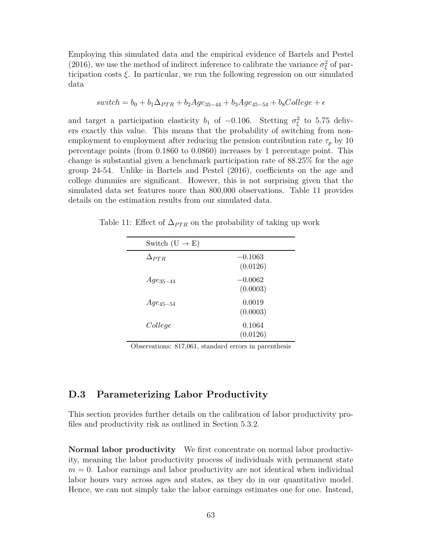Employing this simulated data and the empirical evidence of Bartels and Pestel (2016), we use the method of indirect inference to calibrate the variance  $\sigma_{\xi}^2$  of participation costs *ξ*. In particular, we run the following regression on our simulated data

$$
switch = b_0 + b_1\Delta_{PTR} + b_2Age_{35-44} + b_3Age_{45-54} + b_8 College + \epsilon
$$

and target a participation elasticity  $b_1$  of  $-0.106$ . Stetting  $\sigma_{\xi}^2$  to 5.75 delivers exactly this value. This means that the probability of switching from nonemployment to employment after reducing the pension contribution rate  $\tau_p$  by 10 percentage points (from 0.1860 to 0.0860) increases by 1 percentage point. This change is substantial given a benchmark participation rate of 88.25% for the age group 24-54. Unlike in Bartels and Pestel (2016), coefficients on the age and college dummies are significant. However, this is not surprising given that the simulated data set features more than 800,000 observations. Table 11 provides details on the estimation results from our simulated data.

| Switch $(U \rightarrow E)$ |                       |
|----------------------------|-----------------------|
| $\Delta_{PTR}$             | $-0.1063$<br>(0.0126) |
| $Age_{35-44}$              | $-0.0062$<br>(0.0003) |
| $Age_{45-54}$              | 0.0019<br>(0.0003)    |
| College                    | 0.1064<br>(0.0126)    |

Table 11: Effect of  $\Delta_{PTR}$  on the probability of taking up work

Observations: 817,061, standard errors in parenthesis

### **D.3 Parameterizing Labor Productivity**

This section provides further details on the calibration of labor productivity profiles and productivity risk as outlined in Section 5.3.2.

**Normal labor productivity** We first concentrate on normal labor productivity, meaning the labor productivity process of individuals with permanent state  $m = 0$ . Labor earnings and labor productivity are not identical when individual labor hours vary across ages and states, as they do in our quantitative model. Hence, we can not simply take the labor earnings estimates one for one. Instead,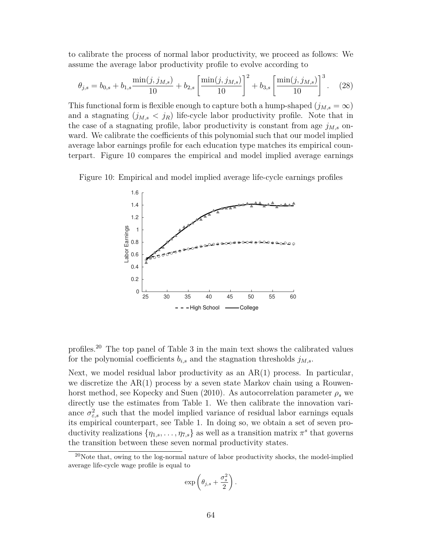to calibrate the process of normal labor productivity, we proceed as follows: We assume the average labor productivity profile to evolve according to

$$
\theta_{j,s} = b_{0,s} + b_{1,s} \frac{\min(j, j_{M,s})}{10} + b_{2,s} \left[ \frac{\min(j, j_{M,s})}{10} \right]^2 + b_{3,s} \left[ \frac{\min(j, j_{M,s})}{10} \right]^3. \tag{28}
$$

This functional form is flexible enough to capture both a hump-shaped  $(j_{M,s} = \infty)$ and a stagnating  $(j_{M,s} < j_R)$  life-cycle labor productivity profile. Note that in the case of a stagnating profile, labor productivity is constant from age  $j_{M,s}$  onward. We calibrate the coefficients of this polynomial such that our model implied average labor earnings profile for each education type matches its empirical counterpart. Figure 10 compares the empirical and model implied average earnings





profiles.<sup>20</sup> The top panel of Table 3 in the main text shows the calibrated values for the polynomial coefficients  $b_{i,s}$  and the stagnation thresholds  $j_{M,s}$ .

Next, we model residual labor productivity as an  $AR(1)$  process. In particular, we discretize the  $AR(1)$  process by a seven state Markov chain using a Rouwenhorst method, see Kopecky and Suen (2010). As autocorrelation parameter  $\rho_s$  we directly use the estimates from Table 1. We then calibrate the innovation variance  $\sigma_{\varepsilon,s}^2$  such that the model implied variance of residual labor earnings equals its empirical counterpart, see Table 1. In doing so, we obtain a set of seven productivity realizations  $\{\eta_{1,s}, \ldots, \eta_{7,s}\}$  as well as a transition matrix  $\pi^s$  that governs the transition between these seven normal productivity states.

$$
\exp\left(\theta_{j,s}+\frac{\sigma_s^2}{2}\right).
$$

<sup>20</sup>Note that, owing to the log-normal nature of labor productivity shocks, the model-implied average life-cycle wage profile is equal to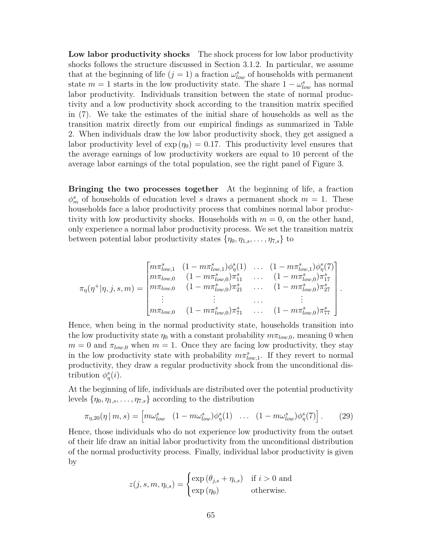**Low labor productivity shocks** The shock process for low labor productivity shocks follows the structure discussed in Section 3.1.2. In particular, we assume that at the beginning of life  $(j = 1)$  a fraction  $\omega_{low}^s$  of households with permanent state  $m = 1$  starts in the low productivity state. The share  $1 - \omega_{low}^s$  has normal labor productivity. Individuals transition between the state of normal productivity and a low productivity shock according to the transition matrix specified in (7). We take the estimates of the initial share of households as well as the transition matrix directly from our empirical findings as summarized in Table 2. When individuals draw the low labor productivity shock, they get assigned a labor productivity level of  $\exp(\eta_0) = 0.17$ . This productivity level ensures that the average earnings of low productivity workers are equal to 10 percent of the average labor earnings of the total population, see the right panel of Figure 3.

**Bringing the two processes together** At the beginning of life, a fraction  $\phi_m^s$  of households of education level *s* draws a permanent shock  $m = 1$ . These households face a labor productivity process that combines normal labor productivity with low productivity shocks. Households with  $m = 0$ , on the other hand, only experience a normal labor productivity process. We set the transition matrix between potential labor productivity states  $\{\eta_0, \eta_{1,s}, \dots, \eta_{7,s}\}\)$  to

$$
\pi_{\eta}(\eta^{+}|\eta, j, s, m) = \begin{bmatrix}\n m\pi_{low,1}^{s} & (1 - m\pi_{low,1}^{s})\phi_{\eta}^{s}(1) & \dots & (1 - m\pi_{low,1}^{s})\phi_{\eta}^{s}(7) \\
m\pi_{low,0} & (1 - m\pi_{low,0}^{s})\pi_{11}^{s} & \dots & (1 - m\pi_{low,0}^{s})\pi_{17}^{s} \\
m\pi_{low,0} & (1 - m\pi_{low,0}^{s})\pi_{21}^{s} & \dots & (1 - m\pi_{low,0}^{s})\pi_{27}^{s} \\
\vdots & \vdots & \dots & \vdots \\
m\pi_{low,0} & (1 - m\pi_{low,0}^{s})\pi_{71}^{s} & \dots & (1 - m\pi_{low,0}^{s})\pi_{77}^{s}\n \end{bmatrix}.
$$

Hence, when being in the normal productivity state, households transition into the low productivity state  $\eta_0$  with a constant probability  $m\pi_{low,0}$ , meaning 0 when  $m = 0$  and  $\pi_{low,0}$  when  $m = 1$ . Once they are facing low productivity, they stay in the low productivity state with probability  $m\pi_{low,1}^s$ . If they revert to normal productivity, they draw a regular productivity shock from the unconditional distribution  $\phi^s_\eta(i)$ .

At the beginning of life, individuals are distributed over the potential productivity levels  $\{\eta_0, \eta_{1,s}, \dots, \eta_{7,s}\}$  according to the distribution

$$
\pi_{\eta,20}(\eta \mid m,s) = \begin{bmatrix} m\omega_{low}^s & (1 - m\omega_{low}^s)\phi_{\eta}^s(1) & \dots & (1 - m\omega_{low}^s)\phi_{\eta}^s(7) \end{bmatrix}.
$$
 (29)

Hence, those individuals who do not experience low productivity from the outset of their life draw an initial labor productivity from the unconditional distribution of the normal productivity process. Finally, individual labor productivity is given by

$$
z(j, s, m, \eta_{i,s}) = \begin{cases} \exp(\theta_{j,s} + \eta_{i,s}) & \text{if } i > 0 \text{ and} \\ \exp(\eta_0) & \text{otherwise.} \end{cases}
$$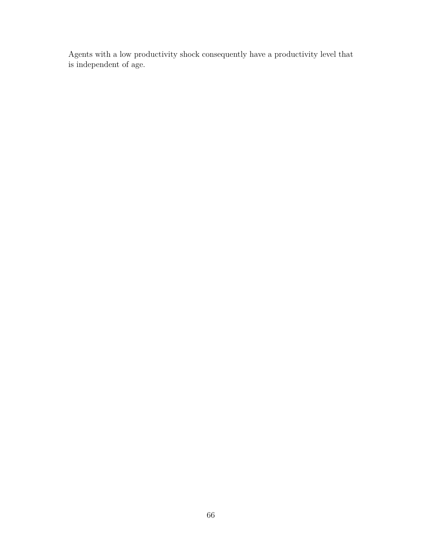Agents with a low productivity shock consequently have a productivity level that is independent of age.